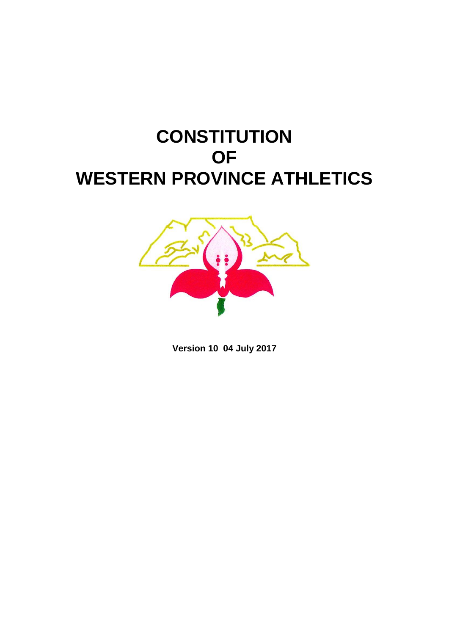# **CONSTITUTION OF WESTERN PROVINCE ATHLETICS**



**Version 10 04 July 2017**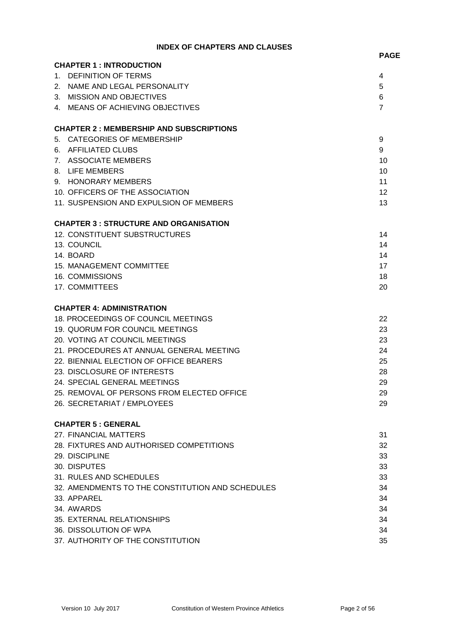## **INDEX OF CHAPTERS AND CLAUSES**

|         |                                                  | <b>PAGE</b>    |
|---------|--------------------------------------------------|----------------|
|         | <b>CHAPTER 1: INTRODUCTION</b>                   |                |
| $1_{-}$ | <b>DEFINITION OF TERMS</b>                       | 4              |
|         | 2. NAME AND LEGAL PERSONALITY                    | 5              |
|         | 3. MISSION AND OBJECTIVES                        | 6              |
|         | 4. MEANS OF ACHIEVING OBJECTIVES                 | $\overline{7}$ |
|         | <b>CHAPTER 2: MEMBERSHIP AND SUBSCRIPTIONS</b>   |                |
|         | 5. CATEGORIES OF MEMBERSHIP                      | 9              |
|         | 6. AFFILIATED CLUBS                              | 9              |
|         | 7. ASSOCIATE MEMBERS                             | 10             |
|         | 8. LIFE MEMBERS                                  | 10             |
|         | 9. HONORARY MEMBERS                              | 11             |
|         | 10. OFFICERS OF THE ASSOCIATION                  | 12             |
|         | 11. SUSPENSION AND EXPULSION OF MEMBERS          | 13             |
|         | <b>CHAPTER 3: STRUCTURE AND ORGANISATION</b>     |                |
|         | 12. CONSTITUENT SUBSTRUCTURES                    | 14             |
|         | 13. COUNCIL                                      | 14             |
|         | 14. BOARD                                        | 14             |
|         | <b>15. MANAGEMENT COMMITTEE</b>                  | 17             |
|         | 16. COMMISSIONS                                  | 18             |
|         | 17. COMMITTEES                                   | 20             |
|         | <b>CHAPTER 4: ADMINISTRATION</b>                 |                |
|         | 18. PROCEEDINGS OF COUNCIL MEETINGS              | 22             |
|         | 19. QUORUM FOR COUNCIL MEETINGS                  | 23             |
|         | 20. VOTING AT COUNCIL MEETINGS                   | 23             |
|         | 21. PROCEDURES AT ANNUAL GENERAL MEETING         | 24             |
|         | 22. BIENNIAL ELECTION OF OFFICE BEARERS          | 25             |
|         | 23. DISCLOSURE OF INTERESTS                      | 28             |
|         | 24. SPECIAL GENERAL MEETINGS                     | 29             |
|         | 25. REMOVAL OF PERSONS FROM ELECTED OFFICE       | 29             |
|         | 26. SECRETARIAT / EMPLOYEES                      | 29             |
|         | <b>CHAPTER 5 : GENERAL</b>                       |                |
|         | 27. FINANCIAL MATTERS                            | 31             |
|         | 28. FIXTURES AND AUTHORISED COMPETITIONS         | 32             |
|         | 29. DISCIPLINE                                   | 33             |
|         | 30. DISPUTES                                     | 33             |
|         | 31. RULES AND SCHEDULES                          | 33             |
|         | 32. AMENDMENTS TO THE CONSTITUTION AND SCHEDULES | 34             |
|         | 33. APPAREL                                      | 34             |
|         | 34. AWARDS                                       | 34             |
|         | 35. EXTERNAL RELATIONSHIPS                       | 34             |
|         | 36. DISSOLUTION OF WPA                           | 34             |
|         | 37. AUTHORITY OF THE CONSTITUTION                | 35             |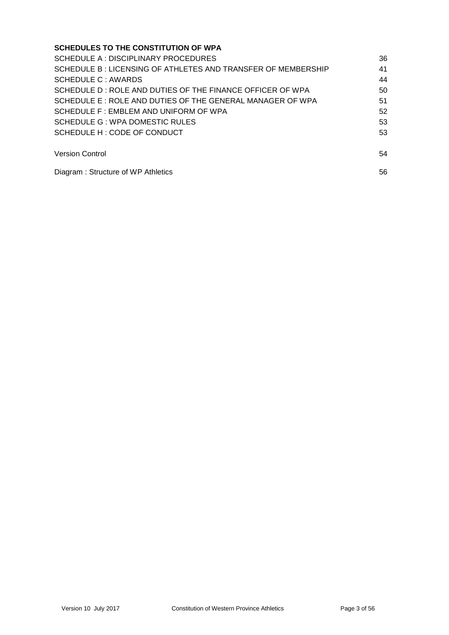| <b>SCHEDULES TO THE CONSTITUTION OF WPA</b>                  |    |
|--------------------------------------------------------------|----|
| SCHEDULE A : DISCIPLINARY PROCEDURES                         | 36 |
| SCHEDULE B: LICENSING OF ATHLETES AND TRANSFER OF MEMBERSHIP | 41 |
| SCHEDULE C : AWARDS                                          | 44 |
| SCHEDULE D : ROLE AND DUTIES OF THE FINANCE OFFICER OF WPA   | 50 |
| SCHEDULE E: ROLE AND DUTIES OF THE GENERAL MANAGER OF WPA    | 51 |
| SCHEDULE F : EMBLEM AND UNIFORM OF WPA                       | 52 |
| SCHEDULE G: WPA DOMESTIC RULES                               | 53 |
| SCHEDULE H: CODE OF CONDUCT                                  | 53 |
| <b>Version Control</b>                                       | 54 |
| Diagram: Structure of WP Athletics                           | 56 |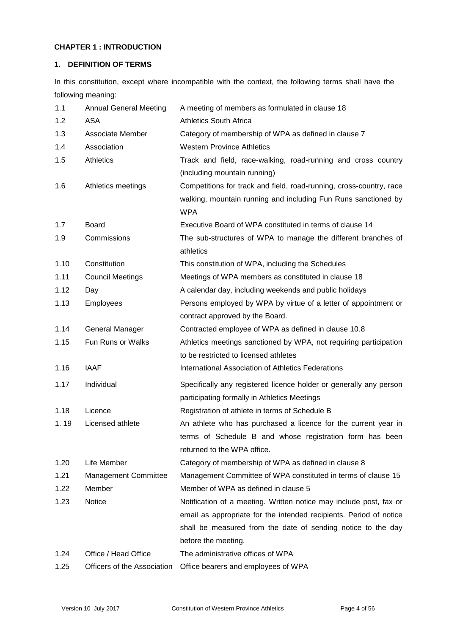## **CHAPTER 1 : INTRODUCTION**

## **1. DEFINITION OF TERMS**

In this constitution, except where incompatible with the context, the following terms shall have the following meaning:

| 1.1  | <b>Annual General Meeting</b> | A meeting of members as formulated in clause 18                     |
|------|-------------------------------|---------------------------------------------------------------------|
| 1.2  | ASA                           | <b>Athletics South Africa</b>                                       |
| 1.3  | Associate Member              | Category of membership of WPA as defined in clause 7                |
| 1.4  | Association                   | <b>Western Province Athletics</b>                                   |
| 1.5  | Athletics                     | Track and field, race-walking, road-running and cross country       |
|      |                               | (including mountain running)                                        |
| 1.6  | Athletics meetings            | Competitions for track and field, road-running, cross-country, race |
|      |                               | walking, mountain running and including Fun Runs sanctioned by      |
|      |                               | <b>WPA</b>                                                          |
| 1.7  | Board                         | Executive Board of WPA constituted in terms of clause 14            |
| 1.9  | Commissions                   | The sub-structures of WPA to manage the different branches of       |
|      |                               | athletics                                                           |
| 1.10 | Constitution                  | This constitution of WPA, including the Schedules                   |
| 1.11 | <b>Council Meetings</b>       | Meetings of WPA members as constituted in clause 18                 |
| 1.12 | Day                           | A calendar day, including weekends and public holidays              |
| 1.13 | Employees                     | Persons employed by WPA by virtue of a letter of appointment or     |
|      |                               | contract approved by the Board.                                     |
| 1.14 | <b>General Manager</b>        | Contracted employee of WPA as defined in clause 10.8                |
| 1.15 | <b>Fun Runs or Walks</b>      | Athletics meetings sanctioned by WPA, not requiring participation   |
|      |                               | to be restricted to licensed athletes                               |
| 1.16 | <b>IAAF</b>                   | International Association of Athletics Federations                  |
| 1.17 | Individual                    | Specifically any registered licence holder or generally any person  |
|      |                               | participating formally in Athletics Meetings                        |
| 1.18 | Licence                       | Registration of athlete in terms of Schedule B                      |
| 1.19 | Licensed athlete              | An athlete who has purchased a licence for the current year in      |
|      |                               | terms of Schedule B and whose registration form has been            |
|      |                               | returned to the WPA office.                                         |
| 1.20 | Life Member                   | Category of membership of WPA as defined in clause 8                |
| 1.21 | <b>Management Committee</b>   | Management Committee of WPA constituted in terms of clause 15       |
| 1.22 | Member                        | Member of WPA as defined in clause 5                                |
| 1.23 | Notice                        | Notification of a meeting. Written notice may include post, fax or  |
|      |                               | email as appropriate for the intended recipients. Period of notice  |
|      |                               | shall be measured from the date of sending notice to the day        |
|      |                               | before the meeting.                                                 |
| 1.24 | Office / Head Office          | The administrative offices of WPA                                   |
| 1.25 | Officers of the Association   | Office bearers and employees of WPA                                 |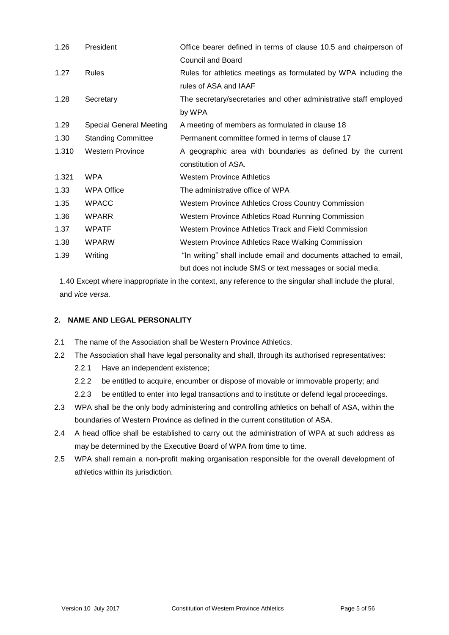| 1.26  | President                      | Office bearer defined in terms of clause 10.5 and chairperson of  |
|-------|--------------------------------|-------------------------------------------------------------------|
|       |                                | <b>Council and Board</b>                                          |
| 1.27  | <b>Rules</b>                   | Rules for athletics meetings as formulated by WPA including the   |
|       |                                | rules of ASA and IAAF                                             |
| 1.28  | Secretary                      | The secretary/secretaries and other administrative staff employed |
|       |                                | by WPA                                                            |
| 1.29  | <b>Special General Meeting</b> | A meeting of members as formulated in clause 18                   |
| 1.30  | <b>Standing Committee</b>      | Permanent committee formed in terms of clause 17                  |
| 1.310 | <b>Western Province</b>        | A geographic area with boundaries as defined by the current       |
|       |                                | constitution of ASA.                                              |
| 1.321 | <b>WPA</b>                     | <b>Western Province Athletics</b>                                 |
| 1.33  | <b>WPA Office</b>              | The administrative office of WPA                                  |
| 1.35  | <b>WPACC</b>                   | <b>Western Province Athletics Cross Country Commission</b>        |
| 1.36  | <b>WPARR</b>                   | Western Province Athletics Road Running Commission                |
| 1.37  | <b>WPATF</b>                   | Western Province Athletics Track and Field Commission             |
| 1.38  | <b>WPARW</b>                   | Western Province Athletics Race Walking Commission                |
| 1.39  | Writing                        | "In writing" shall include email and documents attached to email, |
|       |                                | but does not include SMS or text messages or social media.        |

1.40 Except where inappropriate in the context, any reference to the singular shall include the plural, and *vice versa*.

## **2. NAME AND LEGAL PERSONALITY**

- 2.1 The name of the Association shall be Western Province Athletics.
- 2.2 The Association shall have legal personality and shall, through its authorised representatives:
	- 2.2.1 Have an independent existence;
	- 2.2.2 be entitled to acquire, encumber or dispose of movable or immovable property; and
	- 2.2.3 be entitled to enter into legal transactions and to institute or defend legal proceedings.
- 2.3 WPA shall be the only body administering and controlling athletics on behalf of ASA, within the boundaries of Western Province as defined in the current constitution of ASA.
- 2.4 A head office shall be established to carry out the administration of WPA at such address as may be determined by the Executive Board of WPA from time to time.
- 2.5 WPA shall remain a non-profit making organisation responsible for the overall development of athletics within its jurisdiction.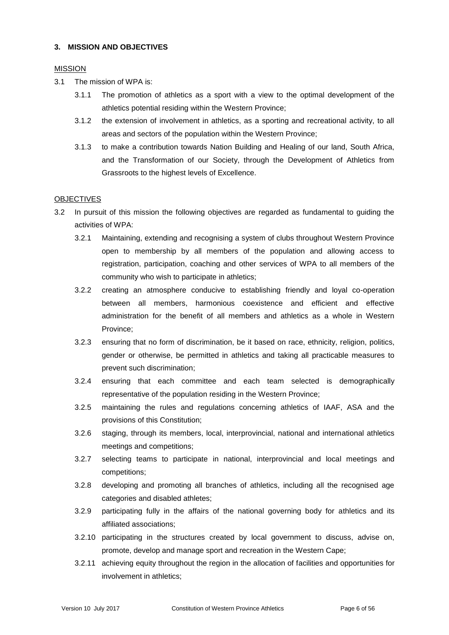#### **3. MISSION AND OBJECTIVES**

#### MISSION

- 3.1 The mission of WPA is:
	- 3.1.1 The promotion of athletics as a sport with a view to the optimal development of the athletics potential residing within the Western Province;
	- 3.1.2 the extension of involvement in athletics, as a sporting and recreational activity, to all areas and sectors of the population within the Western Province;
	- 3.1.3 to make a contribution towards Nation Building and Healing of our land, South Africa, and the Transformation of our Society, through the Development of Athletics from Grassroots to the highest levels of Excellence.

#### **OBJECTIVES**

- 3.2 In pursuit of this mission the following objectives are regarded as fundamental to guiding the activities of WPA:
	- 3.2.1 Maintaining, extending and recognising a system of clubs throughout Western Province open to membership by all members of the population and allowing access to registration, participation, coaching and other services of WPA to all members of the community who wish to participate in athletics;
	- 3.2.2 creating an atmosphere conducive to establishing friendly and loyal co-operation between all members, harmonious coexistence and efficient and effective administration for the benefit of all members and athletics as a whole in Western Province;
	- 3.2.3 ensuring that no form of discrimination, be it based on race, ethnicity, religion, politics, gender or otherwise, be permitted in athletics and taking all practicable measures to prevent such discrimination;
	- 3.2.4 ensuring that each committee and each team selected is demographically representative of the population residing in the Western Province;
	- 3.2.5 maintaining the rules and regulations concerning athletics of IAAF, ASA and the provisions of this Constitution;
	- 3.2.6 staging, through its members, local, interprovincial, national and international athletics meetings and competitions;
	- 3.2.7 selecting teams to participate in national, interprovincial and local meetings and competitions;
	- 3.2.8 developing and promoting all branches of athletics, including all the recognised age categories and disabled athletes;
	- 3.2.9 participating fully in the affairs of the national governing body for athletics and its affiliated associations;
	- 3.2.10 participating in the structures created by local government to discuss, advise on, promote, develop and manage sport and recreation in the Western Cape;
	- 3.2.11 achieving equity throughout the region in the allocation of facilities and opportunities for involvement in athletics;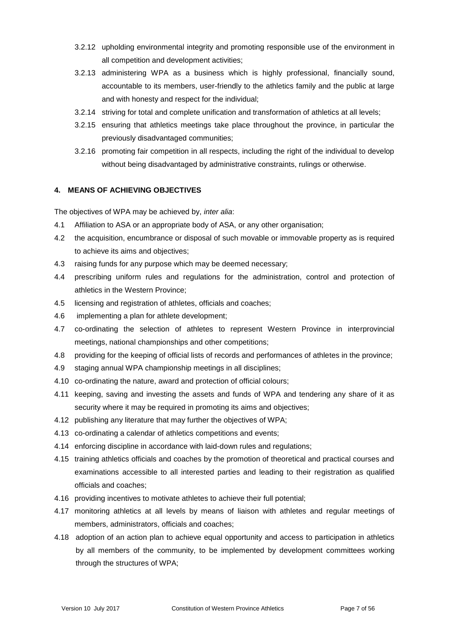- 3.2.12 upholding environmental integrity and promoting responsible use of the environment in all competition and development activities;
- 3.2.13 administering WPA as a business which is highly professional, financially sound, accountable to its members, user-friendly to the athletics family and the public at large and with honesty and respect for the individual;
- 3.2.14 striving for total and complete unification and transformation of athletics at all levels;
- 3.2.15 ensuring that athletics meetings take place throughout the province, in particular the previously disadvantaged communities;
- 3.2.16 promoting fair competition in all respects, including the right of the individual to develop without being disadvantaged by administrative constraints, rulings or otherwise.

## **4. MEANS OF ACHIEVING OBJECTIVES**

The objectives of WPA may be achieved by, *inter alia*:

- 4.1 Affiliation to ASA or an appropriate body of ASA, or any other organisation;
- 4.2 the acquisition, encumbrance or disposal of such movable or immovable property as is required to achieve its aims and objectives;
- 4.3 raising funds for any purpose which may be deemed necessary;
- 4.4 prescribing uniform rules and regulations for the administration, control and protection of athletics in the Western Province;
- 4.5 licensing and registration of athletes, officials and coaches;
- 4.6 implementing a plan for athlete development;
- 4.7 co-ordinating the selection of athletes to represent Western Province in interprovincial meetings, national championships and other competitions;
- 4.8 providing for the keeping of official lists of records and performances of athletes in the province;
- 4.9 staging annual WPA championship meetings in all disciplines;
- 4.10 co-ordinating the nature, award and protection of official colours;
- 4.11 keeping, saving and investing the assets and funds of WPA and tendering any share of it as security where it may be required in promoting its aims and objectives;
- 4.12 publishing any literature that may further the objectives of WPA;
- 4.13 co-ordinating a calendar of athletics competitions and events;
- 4.14 enforcing discipline in accordance with laid-down rules and regulations;
- 4.15 training athletics officials and coaches by the promotion of theoretical and practical courses and examinations accessible to all interested parties and leading to their registration as qualified officials and coaches;
- 4.16 providing incentives to motivate athletes to achieve their full potential;
- 4.17 monitoring athletics at all levels by means of liaison with athletes and regular meetings of members, administrators, officials and coaches;
- 4.18 adoption of an action plan to achieve equal opportunity and access to participation in athletics by all members of the community, to be implemented by development committees working through the structures of WPA;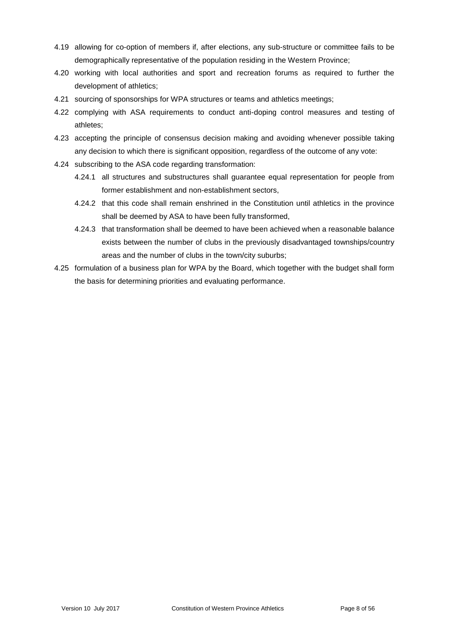- 4.19 allowing for co-option of members if, after elections, any sub-structure or committee fails to be demographically representative of the population residing in the Western Province;
- 4.20 working with local authorities and sport and recreation forums as required to further the development of athletics;
- 4.21 sourcing of sponsorships for WPA structures or teams and athletics meetings;
- 4.22 complying with ASA requirements to conduct anti-doping control measures and testing of athletes;
- 4.23 accepting the principle of consensus decision making and avoiding whenever possible taking any decision to which there is significant opposition, regardless of the outcome of any vote:
- 4.24 subscribing to the ASA code regarding transformation:
	- 4.24.1 all structures and substructures shall guarantee equal representation for people from former establishment and non-establishment sectors,
	- 4.24.2 that this code shall remain enshrined in the Constitution until athletics in the province shall be deemed by ASA to have been fully transformed,
	- 4.24.3 that transformation shall be deemed to have been achieved when a reasonable balance exists between the number of clubs in the previously disadvantaged townships/country areas and the number of clubs in the town/city suburbs;
- 4.25 formulation of a business plan for WPA by the Board, which together with the budget shall form the basis for determining priorities and evaluating performance.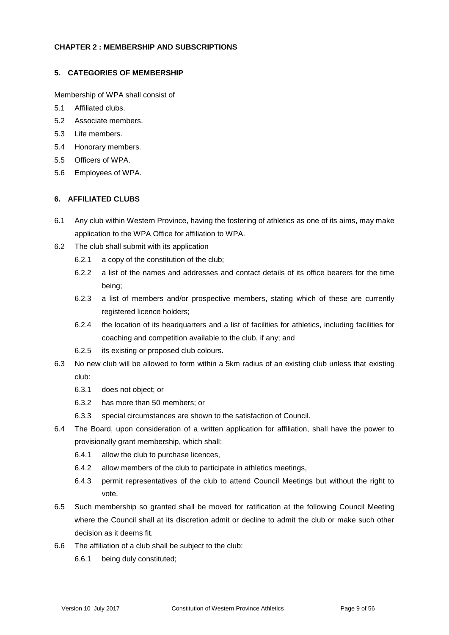#### **CHAPTER 2 : MEMBERSHIP AND SUBSCRIPTIONS**

## **5. CATEGORIES OF MEMBERSHIP**

Membership of WPA shall consist of

- 5.1 Affiliated clubs.
- 5.2 Associate members.
- 5.3 Life members.
- 5.4 Honorary members.
- 5.5 Officers of WPA.
- 5.6 Employees of WPA.

## **6. AFFILIATED CLUBS**

- 6.1 Any club within Western Province, having the fostering of athletics as one of its aims, may make application to the WPA Office for affiliation to WPA.
- 6.2 The club shall submit with its application
	- 6.2.1 a copy of the constitution of the club;
	- 6.2.2 a list of the names and addresses and contact details of its office bearers for the time being;
	- 6.2.3 a list of members and/or prospective members, stating which of these are currently registered licence holders;
	- 6.2.4 the location of its headquarters and a list of facilities for athletics, including facilities for coaching and competition available to the club, if any; and
	- 6.2.5 its existing or proposed club colours.
- 6.3 No new club will be allowed to form within a 5km radius of an existing club unless that existing club:
	- 6.3.1 does not object; or
	- 6.3.2 has more than 50 members; or
	- 6.3.3 special circumstances are shown to the satisfaction of Council.
- 6.4 The Board, upon consideration of a written application for affiliation, shall have the power to provisionally grant membership, which shall:
	- 6.4.1 allow the club to purchase licences,
	- 6.4.2 allow members of the club to participate in athletics meetings,
	- 6.4.3 permit representatives of the club to attend Council Meetings but without the right to vote.
- 6.5 Such membership so granted shall be moved for ratification at the following Council Meeting where the Council shall at its discretion admit or decline to admit the club or make such other decision as it deems fit.
- 6.6 The affiliation of a club shall be subject to the club:
	- 6.6.1 being duly constituted;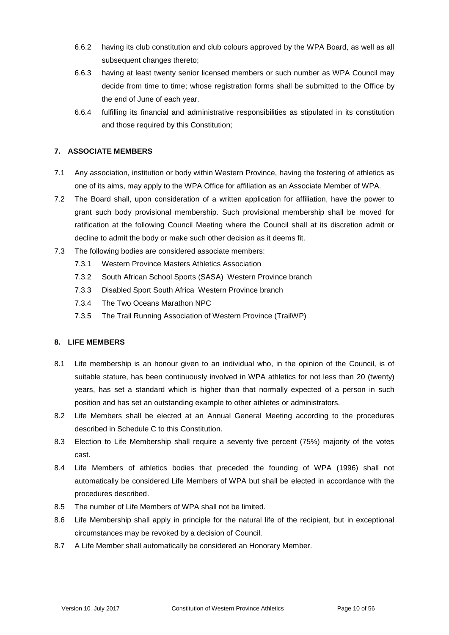- 6.6.2 having its club constitution and club colours approved by the WPA Board, as well as all subsequent changes thereto;
- 6.6.3 having at least twenty senior licensed members or such number as WPA Council may decide from time to time; whose registration forms shall be submitted to the Office by the end of June of each year.
- 6.6.4 fulfilling its financial and administrative responsibilities as stipulated in its constitution and those required by this Constitution;

## **7. ASSOCIATE MEMBERS**

- 7.1 Any association, institution or body within Western Province, having the fostering of athletics as one of its aims, may apply to the WPA Office for affiliation as an Associate Member of WPA.
- 7.2 The Board shall, upon consideration of a written application for affiliation, have the power to grant such body provisional membership. Such provisional membership shall be moved for ratification at the following Council Meeting where the Council shall at its discretion admit or decline to admit the body or make such other decision as it deems fit.
- 7.3 The following bodies are considered associate members:
	- 7.3.1 Western Province Masters Athletics Association
	- 7.3.2 South African School Sports (SASA) Western Province branch
	- 7.3.3 Disabled Sport South Africa Western Province branch
	- 7.3.4 The Two Oceans Marathon NPC
	- 7.3.5 The Trail Running Association of Western Province (TrailWP)

#### **8. LIFE MEMBERS**

- 8.1 Life membership is an honour given to an individual who, in the opinion of the Council, is of suitable stature, has been continuously involved in WPA athletics for not less than 20 (twenty) years, has set a standard which is higher than that normally expected of a person in such position and has set an outstanding example to other athletes or administrators.
- 8.2 Life Members shall be elected at an Annual General Meeting according to the procedures described in Schedule C to this Constitution.
- 8.3 Election to Life Membership shall require a seventy five percent (75%) majority of the votes cast.
- 8.4 Life Members of athletics bodies that preceded the founding of WPA (1996) shall not automatically be considered Life Members of WPA but shall be elected in accordance with the procedures described.
- 8.5 The number of Life Members of WPA shall not be limited.
- 8.6 Life Membership shall apply in principle for the natural life of the recipient, but in exceptional circumstances may be revoked by a decision of Council.
- 8.7 A Life Member shall automatically be considered an Honorary Member.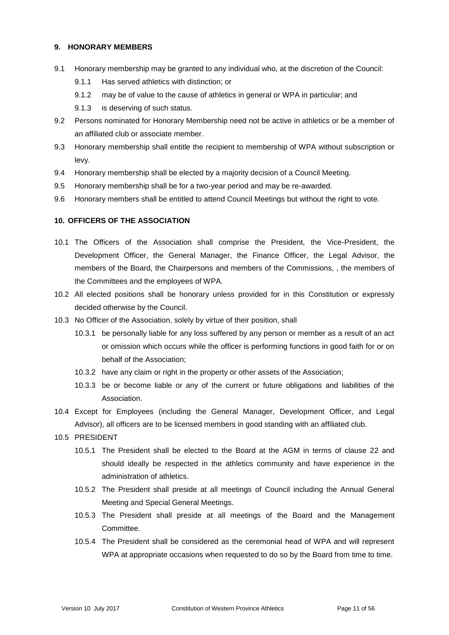#### **9. HONORARY MEMBERS**

- 9.1 Honorary membership may be granted to any individual who, at the discretion of the Council:
	- 9.1.1 Has served athletics with distinction; or
	- 9.1.2 may be of value to the cause of athletics in general or WPA in particular; and
	- 9.1.3 is deserving of such status.
- 9.2 Persons nominated for Honorary Membership need not be active in athletics or be a member of an affiliated club or associate member.
- 9.3 Honorary membership shall entitle the recipient to membership of WPA without subscription or levy.
- 9.4 Honorary membership shall be elected by a majority decision of a Council Meeting.
- 9.5 Honorary membership shall be for a two-year period and may be re-awarded.
- 9.6 Honorary members shall be entitled to attend Council Meetings but without the right to vote.

#### **10. OFFICERS OF THE ASSOCIATION**

- 10.1 The Officers of the Association shall comprise the President, the Vice-President, the Development Officer, the General Manager, the Finance Officer, the Legal Advisor, the members of the Board, the Chairpersons and members of the Commissions, , the members of the Committees and the employees of WPA.
- 10.2 All elected positions shall be honorary unless provided for in this Constitution or expressly decided otherwise by the Council.
- 10.3 No Officer of the Association, solely by virtue of their position, shall
	- 10.3.1 be personally liable for any loss suffered by any person or member as a result of an act or omission which occurs while the officer is performing functions in good faith for or on behalf of the Association;
	- 10.3.2 have any claim or right in the property or other assets of the Association;
	- 10.3.3 be or become liable or any of the current or future obligations and liabilities of the Association.
- 10.4 Except for Employees (including the General Manager, Development Officer, and Legal Advisor), all officers are to be licensed members in good standing with an affiliated club.
- 10.5 PRESIDENT
	- 10.5.1 The President shall be elected to the Board at the AGM in terms of clause 22 and should ideally be respected in the athletics community and have experience in the administration of athletics.
	- 10.5.2 The President shall preside at all meetings of Council including the Annual General Meeting and Special General Meetings.
	- 10.5.3 The President shall preside at all meetings of the Board and the Management Committee.
	- 10.5.4 The President shall be considered as the ceremonial head of WPA and will represent WPA at appropriate occasions when requested to do so by the Board from time to time.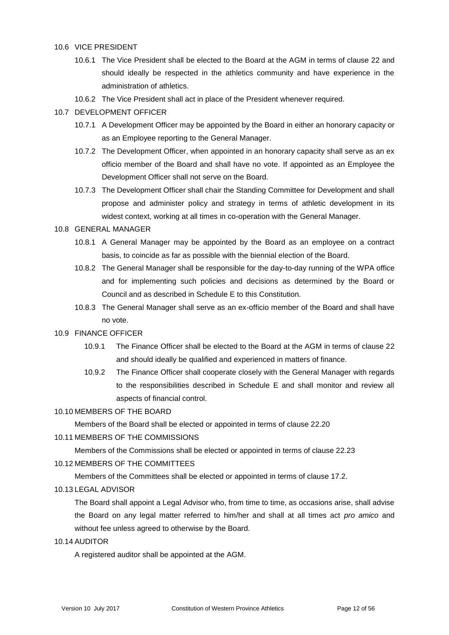#### 10.6 VICE PRESIDENT

- 10.6.1 The Vice President shall be elected to the Board at the AGM in terms of clause 22 and should ideally be respected in the athletics community and have experience in the administration of athletics.
- 10.6.2 The Vice President shall act in place of the President whenever required.

#### 10.7 DEVELOPMENT OFFICER

- 10.7.1 A Development Officer may be appointed by the Board in either an honorary capacity or as an Employee reporting to the General Manager.
- 10.7.2 The Development Officer, when appointed in an honorary capacity shall serve as an ex officio member of the Board and shall have no vote. If appointed as an Employee the Development Officer shall not serve on the Board.
- 10.7.3 The Development Officer shall chair the Standing Committee for Development and shall propose and administer policy and strategy in terms of athletic development in its widest context, working at all times in co-operation with the General Manager.

#### 10.8 GENERAL MANAGER

- 10.8.1 A General Manager may be appointed by the Board as an employee on a contract basis, to coincide as far as possible with the biennial election of the Board.
- 10.8.2 The General Manager shall be responsible for the day-to-day running of the WPA office and for implementing such policies and decisions as determined by the Board or Council and as described in Schedule E to this Constitution.
- 10.8.3 The General Manager shall serve as an ex-officio member of the Board and shall have no vote.

#### 10.9 FINANCE OFFICER

- 10.9.1 The Finance Officer shall be elected to the Board at the AGM in terms of clause 22 and should ideally be qualified and experienced in matters of finance.
- 10.9.2 The Finance Officer shall cooperate closely with the General Manager with regards to the responsibilities described in Schedule E and shall monitor and review all aspects of financial control.

## 10.10 MEMBERS OF THE BOARD

Members of the Board shall be elected or appointed in terms of clause 22.20

10.11 MEMBERS OF THE COMMISSIONS

Members of the Commissions shall be elected or appointed in terms of clause 22.23

10.12 MEMBERS OF THE COMMITTEES

Members of the Committees shall be elected or appointed in terms of clause 17.2.

#### 10.13 LEGAL ADVISOR

The Board shall appoint a Legal Advisor who, from time to time, as occasions arise, shall advise the Board on any legal matter referred to him/her and shall at all times act *pro amico* and without fee unless agreed to otherwise by the Board.

10.14 AUDITOR

A registered auditor shall be appointed at the AGM.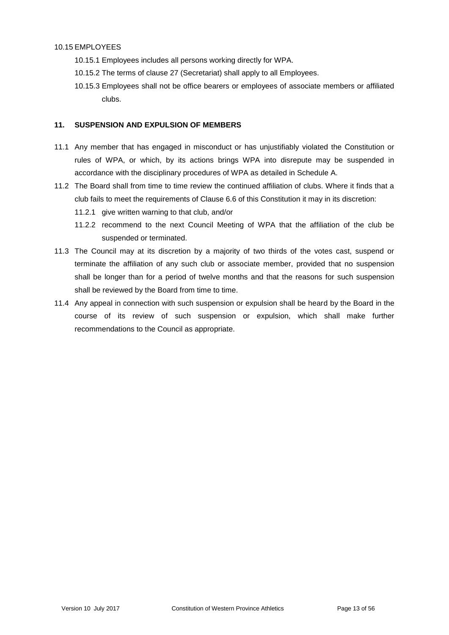#### 10.15 EMPLOYEES

- 10.15.1 Employees includes all persons working directly for WPA.
- 10.15.2 The terms of clause 27 (Secretariat) shall apply to all Employees.
- 10.15.3 Employees shall not be office bearers or employees of associate members or affiliated clubs.

#### **11. SUSPENSION AND EXPULSION OF MEMBERS**

- 11.1 Any member that has engaged in misconduct or has unjustifiably violated the Constitution or rules of WPA, or which, by its actions brings WPA into disrepute may be suspended in accordance with the disciplinary procedures of WPA as detailed in Schedule A.
- 11.2 The Board shall from time to time review the continued affiliation of clubs. Where it finds that a club fails to meet the requirements of Clause 6.6 of this Constitution it may in its discretion:
	- 11.2.1 give written warning to that club, and/or
	- 11.2.2 recommend to the next Council Meeting of WPA that the affiliation of the club be suspended or terminated.
- 11.3 The Council may at its discretion by a majority of two thirds of the votes cast, suspend or terminate the affiliation of any such club or associate member, provided that no suspension shall be longer than for a period of twelve months and that the reasons for such suspension shall be reviewed by the Board from time to time.
- 11.4 Any appeal in connection with such suspension or expulsion shall be heard by the Board in the course of its review of such suspension or expulsion, which shall make further recommendations to the Council as appropriate.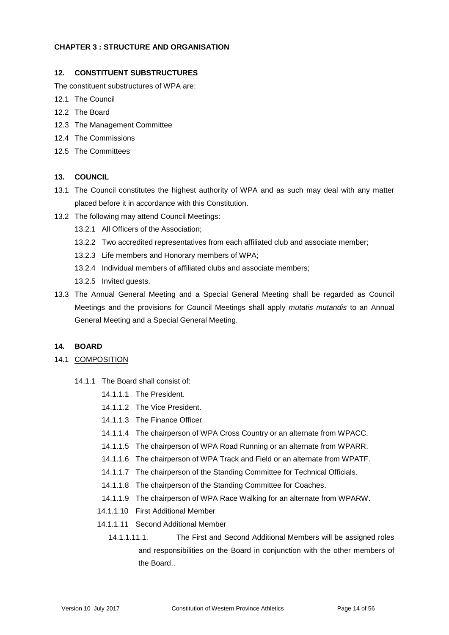#### **CHAPTER 3 : STRUCTURE AND ORGANISATION**

## **12. CONSTITUENT SUBSTRUCTURES**

The constituent substructures of WPA are:

- 12.1 The Council
- 12.2 The Board
- 12.3 The Management Committee
- 12.4 The Commissions
- 12.5 The Committees

## **13. COUNCIL**

- 13.1 The Council constitutes the highest authority of WPA and as such may deal with any matter placed before it in accordance with this Constitution.
- 13.2 The following may attend Council Meetings:
	- 13.2.1 All Officers of the Association;
	- 13.2.2 Two accredited representatives from each affiliated club and associate member;
	- 13.2.3 Life members and Honorary members of WPA;
	- 13.2.4 Individual members of affiliated clubs and associate members;
	- 13.2.5 Invited guests.
- 13.3 The Annual General Meeting and a Special General Meeting shall be regarded as Council Meetings and the provisions for Council Meetings shall apply *mutatis mutandis* to an Annual General Meeting and a Special General Meeting.

#### **14. BOARD**

- 14.1 COMPOSITION
	- 14.1.1 The Board shall consist of:
		- 14.1.1.1 The President.
		- 14.1.1.2 The Vice President.
		- 14.1.1.3 The Finance Officer
		- 14.1.1.4 The chairperson of WPA Cross Country or an alternate from WPACC.
		- 14.1.1.5 The chairperson of WPA Road Running or an alternate from WPARR.
		- 14.1.1.6 The chairperson of WPA Track and Field or an alternate from WPATF.
		- 14.1.1.7 The chairperson of the Standing Committee for Technical Officials.
		- 14.1.1.8 The chairperson of the Standing Committee for Coaches.
		- 14.1.1.9 The chairperson of WPA Race Walking for an alternate from WPARW.
		- 14.1.1.10 First Additional Member
		- 14.1.1.11 Second Additional Member
			- 14.1.1.11.1. The First and Second Additional Members will be assigned roles and responsibilities on the Board in conjunction with the other members of the Board..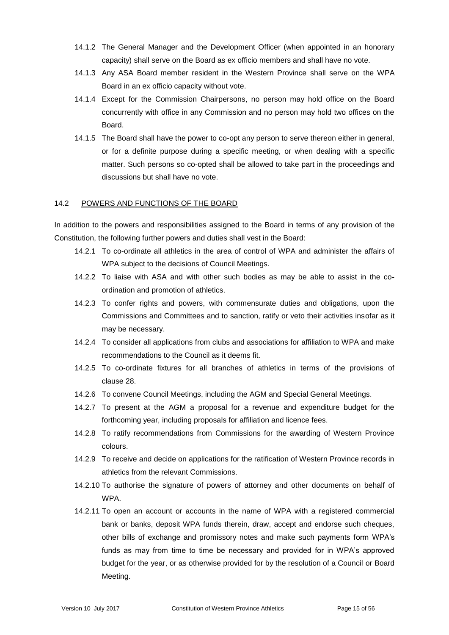- 14.1.2 The General Manager and the Development Officer (when appointed in an honorary capacity) shall serve on the Board as ex officio members and shall have no vote.
- 14.1.3 Any ASA Board member resident in the Western Province shall serve on the WPA Board in an ex officio capacity without vote.
- 14.1.4 Except for the Commission Chairpersons, no person may hold office on the Board concurrently with office in any Commission and no person may hold two offices on the Board.
- 14.1.5 The Board shall have the power to co-opt any person to serve thereon either in general, or for a definite purpose during a specific meeting, or when dealing with a specific matter. Such persons so co-opted shall be allowed to take part in the proceedings and discussions but shall have no vote.

#### 14.2 POWERS AND FUNCTIONS OF THE BOARD

In addition to the powers and responsibilities assigned to the Board in terms of any provision of the Constitution, the following further powers and duties shall vest in the Board:

- 14.2.1 To co-ordinate all athletics in the area of control of WPA and administer the affairs of WPA subject to the decisions of Council Meetings.
- 14.2.2 To liaise with ASA and with other such bodies as may be able to assist in the coordination and promotion of athletics.
- 14.2.3 To confer rights and powers, with commensurate duties and obligations, upon the Commissions and Committees and to sanction, ratify or veto their activities insofar as it may be necessary.
- 14.2.4 To consider all applications from clubs and associations for affiliation to WPA and make recommendations to the Council as it deems fit.
- 14.2.5 To co-ordinate fixtures for all branches of athletics in terms of the provisions of clause 28.
- 14.2.6 To convene Council Meetings, including the AGM and Special General Meetings.
- 14.2.7 To present at the AGM a proposal for a revenue and expenditure budget for the forthcoming year, including proposals for affiliation and licence fees.
- 14.2.8 To ratify recommendations from Commissions for the awarding of Western Province colours.
- 14.2.9 To receive and decide on applications for the ratification of Western Province records in athletics from the relevant Commissions.
- 14.2.10 To authorise the signature of powers of attorney and other documents on behalf of **WPA**
- 14.2.11 To open an account or accounts in the name of WPA with a registered commercial bank or banks, deposit WPA funds therein, draw, accept and endorse such cheques, other bills of exchange and promissory notes and make such payments form WPA's funds as may from time to time be necessary and provided for in WPA's approved budget for the year, or as otherwise provided for by the resolution of a Council or Board Meeting.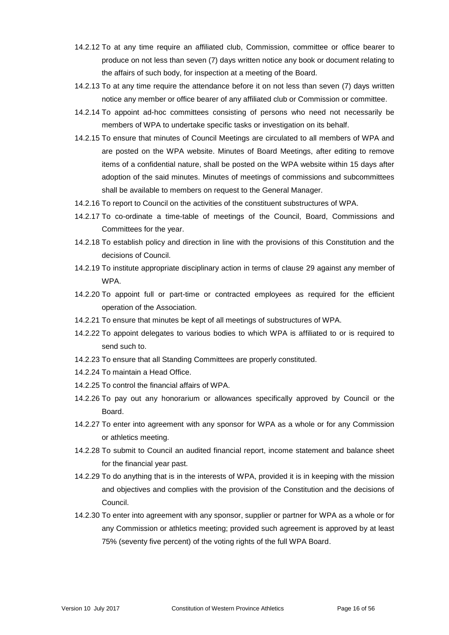- 14.2.12 To at any time require an affiliated club, Commission, committee or office bearer to produce on not less than seven (7) days written notice any book or document relating to the affairs of such body, for inspection at a meeting of the Board.
- 14.2.13 To at any time require the attendance before it on not less than seven (7) days written notice any member or office bearer of any affiliated club or Commission or committee.
- 14.2.14 To appoint ad-hoc committees consisting of persons who need not necessarily be members of WPA to undertake specific tasks or investigation on its behalf.
- 14.2.15 To ensure that minutes of Council Meetings are circulated to all members of WPA and are posted on the WPA website. Minutes of Board Meetings, after editing to remove items of a confidential nature, shall be posted on the WPA website within 15 days after adoption of the said minutes. Minutes of meetings of commissions and subcommittees shall be available to members on request to the General Manager.
- 14.2.16 To report to Council on the activities of the constituent substructures of WPA.
- 14.2.17 To co-ordinate a time-table of meetings of the Council, Board, Commissions and Committees for the year.
- 14.2.18 To establish policy and direction in line with the provisions of this Constitution and the decisions of Council.
- 14.2.19 To institute appropriate disciplinary action in terms of clause 29 against any member of WPA.
- 14.2.20 To appoint full or part-time or contracted employees as required for the efficient operation of the Association.
- 14.2.21 To ensure that minutes be kept of all meetings of substructures of WPA.
- 14.2.22 To appoint delegates to various bodies to which WPA is affiliated to or is required to send such to.
- 14.2.23 To ensure that all Standing Committees are properly constituted.
- 14.2.24 To maintain a Head Office.
- 14.2.25 To control the financial affairs of WPA.
- 14.2.26 To pay out any honorarium or allowances specifically approved by Council or the Board.
- 14.2.27 To enter into agreement with any sponsor for WPA as a whole or for any Commission or athletics meeting.
- 14.2.28 To submit to Council an audited financial report, income statement and balance sheet for the financial year past.
- 14.2.29 To do anything that is in the interests of WPA, provided it is in keeping with the mission and objectives and complies with the provision of the Constitution and the decisions of Council.
- 14.2.30 To enter into agreement with any sponsor, supplier or partner for WPA as a whole or for any Commission or athletics meeting; provided such agreement is approved by at least 75% (seventy five percent) of the voting rights of the full WPA Board.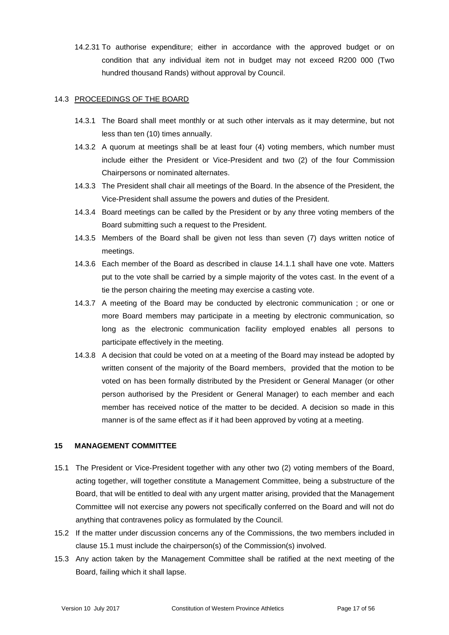14.2.31 To authorise expenditure; either in accordance with the approved budget or on condition that any individual item not in budget may not exceed R200 000 (Two hundred thousand Rands) without approval by Council.

#### 14.3 PROCEEDINGS OF THE BOARD

- 14.3.1 The Board shall meet monthly or at such other intervals as it may determine, but not less than ten (10) times annually.
- 14.3.2 A quorum at meetings shall be at least four (4) voting members, which number must include either the President or Vice-President and two (2) of the four Commission Chairpersons or nominated alternates.
- 14.3.3 The President shall chair all meetings of the Board. In the absence of the President, the Vice-President shall assume the powers and duties of the President.
- 14.3.4 Board meetings can be called by the President or by any three voting members of the Board submitting such a request to the President.
- 14.3.5 Members of the Board shall be given not less than seven (7) days written notice of meetings.
- 14.3.6 Each member of the Board as described in clause 14.1.1 shall have one vote. Matters put to the vote shall be carried by a simple majority of the votes cast. In the event of a tie the person chairing the meeting may exercise a casting vote.
- 14.3.7 A meeting of the Board may be conducted by electronic communication ; or one or more Board members may participate in a meeting by electronic communication, so long as the electronic communication facility employed enables all persons to participate effectively in the meeting.
- 14.3.8 A decision that could be voted on at a meeting of the Board may instead be adopted by written consent of the majority of the Board members, provided that the motion to be voted on has been formally distributed by the President or General Manager (or other person authorised by the President or General Manager) to each member and each member has received notice of the matter to be decided. A decision so made in this manner is of the same effect as if it had been approved by voting at a meeting.

#### **15 MANAGEMENT COMMITTEE**

- 15.1 The President or Vice-President together with any other two (2) voting members of the Board, acting together, will together constitute a Management Committee, being a substructure of the Board, that will be entitled to deal with any urgent matter arising, provided that the Management Committee will not exercise any powers not specifically conferred on the Board and will not do anything that contravenes policy as formulated by the Council.
- 15.2 If the matter under discussion concerns any of the Commissions, the two members included in clause 15.1 must include the chairperson(s) of the Commission(s) involved.
- 15.3 Any action taken by the Management Committee shall be ratified at the next meeting of the Board, failing which it shall lapse.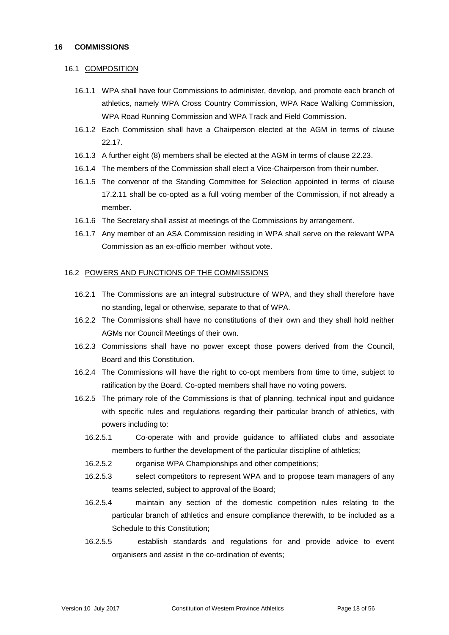#### 16.1 COMPOSITION

- 16.1.1 WPA shall have four Commissions to administer, develop, and promote each branch of athletics, namely WPA Cross Country Commission, WPA Race Walking Commission, WPA Road Running Commission and WPA Track and Field Commission.
- 16.1.2 Each Commission shall have a Chairperson elected at the AGM in terms of clause 22.17.
- 16.1.3 A further eight (8) members shall be elected at the AGM in terms of clause 22.23.
- 16.1.4 The members of the Commission shall elect a Vice-Chairperson from their number.
- 16.1.5 The convenor of the Standing Committee for Selection appointed in terms of clause 17.2.11 shall be co-opted as a full voting member of the Commission, if not already a member.
- 16.1.6 The Secretary shall assist at meetings of the Commissions by arrangement.
- 16.1.7 Any member of an ASA Commission residing in WPA shall serve on the relevant WPA Commission as an ex-officio member without vote.

#### 16.2 POWERS AND FUNCTIONS OF THE COMMISSIONS

- 16.2.1 The Commissions are an integral substructure of WPA, and they shall therefore have no standing, legal or otherwise, separate to that of WPA.
- 16.2.2 The Commissions shall have no constitutions of their own and they shall hold neither AGMs nor Council Meetings of their own.
- 16.2.3 Commissions shall have no power except those powers derived from the Council, Board and this Constitution.
- 16.2.4 The Commissions will have the right to co-opt members from time to time, subject to ratification by the Board. Co-opted members shall have no voting powers.
- 16.2.5 The primary role of the Commissions is that of planning, technical input and guidance with specific rules and regulations regarding their particular branch of athletics, with powers including to:
	- 16.2.5.1 Co-operate with and provide guidance to affiliated clubs and associate members to further the development of the particular discipline of athletics;
	- 16.2.5.2 organise WPA Championships and other competitions;
	- 16.2.5.3 select competitors to represent WPA and to propose team managers of any teams selected, subject to approval of the Board;
	- 16.2.5.4 maintain any section of the domestic competition rules relating to the particular branch of athletics and ensure compliance therewith, to be included as a Schedule to this Constitution;
	- 16.2.5.5 establish standards and regulations for and provide advice to event organisers and assist in the co-ordination of events;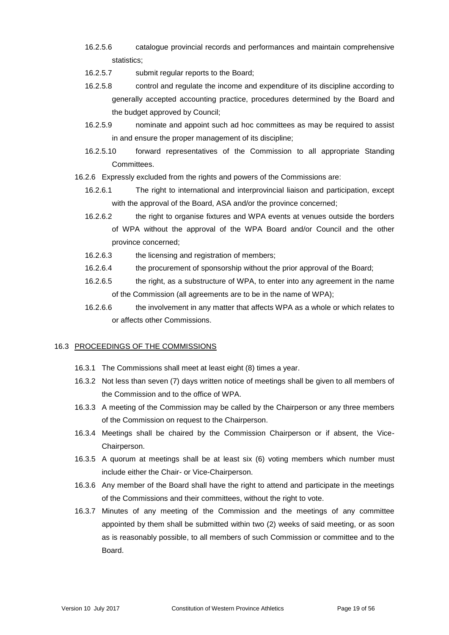- 16.2.5.6 catalogue provincial records and performances and maintain comprehensive statistics;
- 16.2.5.7 submit regular reports to the Board;
- 16.2.5.8 control and regulate the income and expenditure of its discipline according to generally accepted accounting practice, procedures determined by the Board and the budget approved by Council;
- 16.2.5.9 nominate and appoint such ad hoc committees as may be required to assist in and ensure the proper management of its discipline;
- 16.2.5.10 forward representatives of the Commission to all appropriate Standing Committees.
- 16.2.6 Expressly excluded from the rights and powers of the Commissions are:
	- 16.2.6.1 The right to international and interprovincial liaison and participation, except with the approval of the Board, ASA and/or the province concerned;
	- 16.2.6.2 the right to organise fixtures and WPA events at venues outside the borders of WPA without the approval of the WPA Board and/or Council and the other province concerned;
	- 16.2.6.3 the licensing and registration of members;
	- 16.2.6.4 the procurement of sponsorship without the prior approval of the Board;
	- 16.2.6.5 the right, as a substructure of WPA, to enter into any agreement in the name of the Commission (all agreements are to be in the name of WPA);
	- 16.2.6.6 the involvement in any matter that affects WPA as a whole or which relates to or affects other Commissions.

## 16.3 PROCEEDINGS OF THE COMMISSIONS

- 16.3.1 The Commissions shall meet at least eight (8) times a year.
- 16.3.2 Not less than seven (7) days written notice of meetings shall be given to all members of the Commission and to the office of WPA.
- 16.3.3 A meeting of the Commission may be called by the Chairperson or any three members of the Commission on request to the Chairperson.
- 16.3.4 Meetings shall be chaired by the Commission Chairperson or if absent, the Vice-Chairperson.
- 16.3.5 A quorum at meetings shall be at least six (6) voting members which number must include either the Chair- or Vice-Chairperson.
- 16.3.6 Any member of the Board shall have the right to attend and participate in the meetings of the Commissions and their committees, without the right to vote.
- 16.3.7 Minutes of any meeting of the Commission and the meetings of any committee appointed by them shall be submitted within two (2) weeks of said meeting, or as soon as is reasonably possible, to all members of such Commission or committee and to the Board.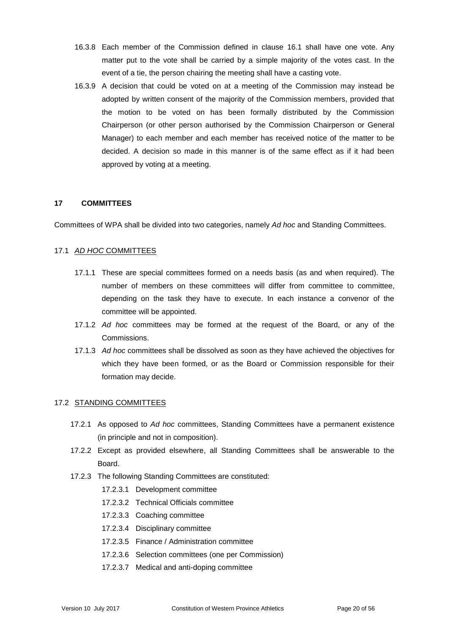- 16.3.8 Each member of the Commission defined in clause 16.1 shall have one vote. Any matter put to the vote shall be carried by a simple majority of the votes cast. In the event of a tie, the person chairing the meeting shall have a casting vote.
- 16.3.9 A decision that could be voted on at a meeting of the Commission may instead be adopted by written consent of the majority of the Commission members, provided that the motion to be voted on has been formally distributed by the Commission Chairperson (or other person authorised by the Commission Chairperson or General Manager) to each member and each member has received notice of the matter to be decided. A decision so made in this manner is of the same effect as if it had been approved by voting at a meeting.

#### **17 COMMITTEES**

Committees of WPA shall be divided into two categories, namely *Ad hoc* and Standing Committees.

#### 17.1 *AD HOC* COMMITTEES

- 17.1.1 These are special committees formed on a needs basis (as and when required). The number of members on these committees will differ from committee to committee, depending on the task they have to execute. In each instance a convenor of the committee will be appointed.
- 17.1.2 *Ad hoc* committees may be formed at the request of the Board, or any of the Commissions.
- 17.1.3 *Ad hoc* committees shall be dissolved as soon as they have achieved the objectives for which they have been formed, or as the Board or Commission responsible for their formation may decide.

#### 17.2 STANDING COMMITTEES

- 17.2.1 As opposed to *Ad hoc* committees, Standing Committees have a permanent existence (in principle and not in composition).
- 17.2.2 Except as provided elsewhere, all Standing Committees shall be answerable to the Board.
- 17.2.3 The following Standing Committees are constituted:
	- 17.2.3.1 Development committee
	- 17.2.3.2 Technical Officials committee
	- 17.2.3.3 Coaching committee
	- 17.2.3.4 Disciplinary committee
	- 17.2.3.5 Finance / Administration committee
	- 17.2.3.6 Selection committees (one per Commission)
	- 17.2.3.7 Medical and anti-doping committee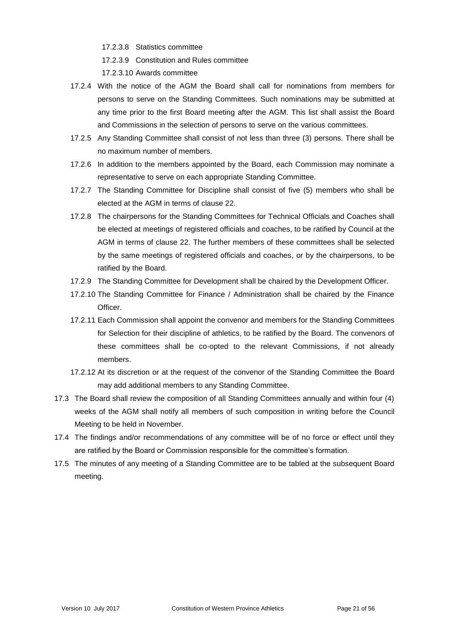- 17.2.3.8 Statistics committee
- 17.2.3.9 Constitution and Rules committee

17.2.3.10 Awards committee

- 17.2.4 With the notice of the AGM the Board shall call for nominations from members for persons to serve on the Standing Committees. Such nominations may be submitted at any time prior to the first Board meeting after the AGM. This list shall assist the Board and Commissions in the selection of persons to serve on the various committees.
- 17.2.5 Any Standing Committee shall consist of not less than three (3) persons. There shall be no maximum number of members.
- 17.2.6 In addition to the members appointed by the Board, each Commission may nominate a representative to serve on each appropriate Standing Committee.
- 17.2.7 The Standing Committee for Discipline shall consist of five (5) members who shall be elected at the AGM in terms of clause 22.
- 17.2.8 The chairpersons for the Standing Committees for Technical Officials and Coaches shall be elected at meetings of registered officials and coaches, to be ratified by Council at the AGM in terms of clause 22. The further members of these committees shall be selected by the same meetings of registered officials and coaches, or by the chairpersons, to be ratified by the Board.
- 17.2.9 The Standing Committee for Development shall be chaired by the Development Officer.
- 17.2.10 The Standing Committee for Finance / Administration shall be chaired by the Finance Officer.
- 17.2.11 Each Commission shall appoint the convenor and members for the Standing Committees for Selection for their discipline of athletics, to be ratified by the Board. The convenors of these committees shall be co-opted to the relevant Commissions, if not already members.
- 17.2.12 At its discretion or at the request of the convenor of the Standing Committee the Board may add additional members to any Standing Committee.
- 17.3 The Board shall review the composition of all Standing Committees annually and within four (4) weeks of the AGM shall notify all members of such composition in writing before the Council Meeting to be held in November.
- 17.4 The findings and/or recommendations of any committee will be of no force or effect until they are ratified by the Board or Commission responsible for the committee's formation.
- 17.5 The minutes of any meeting of a Standing Committee are to be tabled at the subsequent Board meeting.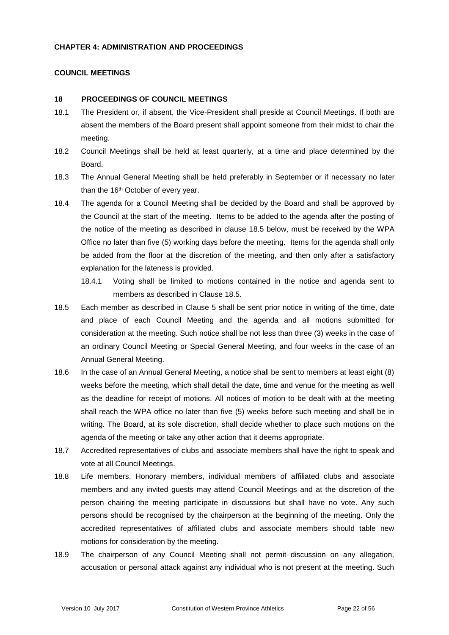#### **CHAPTER 4: ADMINISTRATION AND PROCEEDINGS**

#### **COUNCIL MEETINGS**

#### **18 PROCEEDINGS OF COUNCIL MEETINGS**

- 18.1 The President or, if absent, the Vice-President shall preside at Council Meetings. If both are absent the members of the Board present shall appoint someone from their midst to chair the meeting.
- 18.2 Council Meetings shall be held at least quarterly, at a time and place determined by the Board.
- 18.3 The Annual General Meeting shall be held preferably in September or if necessary no later than the 16<sup>th</sup> October of every year.
- 18.4 The agenda for a Council Meeting shall be decided by the Board and shall be approved by the Council at the start of the meeting. Items to be added to the agenda after the posting of the notice of the meeting as described in clause 18.5 below, must be received by the WPA Office no later than five (5) working days before the meeting. Items for the agenda shall only be added from the floor at the discretion of the meeting, and then only after a satisfactory explanation for the lateness is provided.
	- 18.4.1 Voting shall be limited to motions contained in the notice and agenda sent to members as described in Clause 18.5.
- 18.5 Each member as described in Clause 5 shall be sent prior notice in writing of the time, date and place of each Council Meeting and the agenda and all motions submitted for consideration at the meeting. Such notice shall be not less than three (3) weeks in the case of an ordinary Council Meeting or Special General Meeting, and four weeks in the case of an Annual General Meeting.
- 18.6 In the case of an Annual General Meeting, a notice shall be sent to members at least eight (8) weeks before the meeting, which shall detail the date, time and venue for the meeting as well as the deadline for receipt of motions. All notices of motion to be dealt with at the meeting shall reach the WPA office no later than five (5) weeks before such meeting and shall be in writing. The Board, at its sole discretion, shall decide whether to place such motions on the agenda of the meeting or take any other action that it deems appropriate.
- 18.7 Accredited representatives of clubs and associate members shall have the right to speak and vote at all Council Meetings.
- 18.8 Life members, Honorary members, individual members of affiliated clubs and associate members and any invited guests may attend Council Meetings and at the discretion of the person chairing the meeting participate in discussions but shall have no vote. Any such persons should be recognised by the chairperson at the beginning of the meeting. Only the accredited representatives of affiliated clubs and associate members should table new motions for consideration by the meeting.
- 18.9 The chairperson of any Council Meeting shall not permit discussion on any allegation, accusation or personal attack against any individual who is not present at the meeting. Such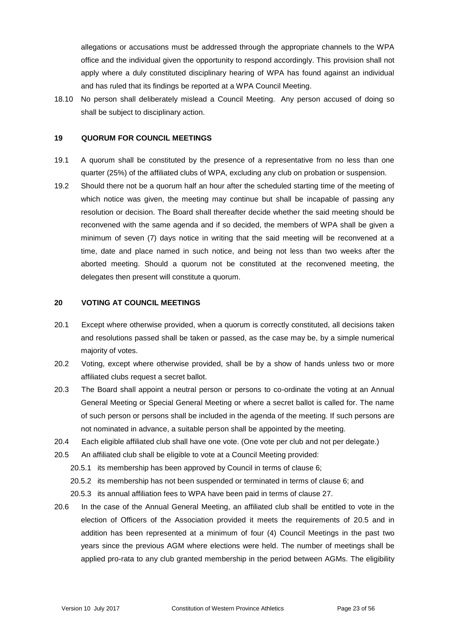allegations or accusations must be addressed through the appropriate channels to the WPA office and the individual given the opportunity to respond accordingly. This provision shall not apply where a duly constituted disciplinary hearing of WPA has found against an individual and has ruled that its findings be reported at a WPA Council Meeting.

18.10 No person shall deliberately mislead a Council Meeting. Any person accused of doing so shall be subject to disciplinary action.

#### **19 QUORUM FOR COUNCIL MEETINGS**

- 19.1 A quorum shall be constituted by the presence of a representative from no less than one quarter (25%) of the affiliated clubs of WPA, excluding any club on probation or suspension.
- 19.2 Should there not be a quorum half an hour after the scheduled starting time of the meeting of which notice was given, the meeting may continue but shall be incapable of passing any resolution or decision. The Board shall thereafter decide whether the said meeting should be reconvened with the same agenda and if so decided, the members of WPA shall be given a minimum of seven (7) days notice in writing that the said meeting will be reconvened at a time, date and place named in such notice, and being not less than two weeks after the aborted meeting. Should a quorum not be constituted at the reconvened meeting, the delegates then present will constitute a quorum.

#### **20 VOTING AT COUNCIL MEETINGS**

- 20.1 Except where otherwise provided, when a quorum is correctly constituted, all decisions taken and resolutions passed shall be taken or passed, as the case may be, by a simple numerical majority of votes.
- 20.2 Voting, except where otherwise provided, shall be by a show of hands unless two or more affiliated clubs request a secret ballot.
- 20.3 The Board shall appoint a neutral person or persons to co-ordinate the voting at an Annual General Meeting or Special General Meeting or where a secret ballot is called for. The name of such person or persons shall be included in the agenda of the meeting. If such persons are not nominated in advance, a suitable person shall be appointed by the meeting.
- 20.4 Each eligible affiliated club shall have one vote. (One vote per club and not per delegate.)
- 20.5 An affiliated club shall be eligible to vote at a Council Meeting provided:
	- 20.5.1 its membership has been approved by Council in terms of clause 6;
	- 20.5.2 its membership has not been suspended or terminated in terms of clause 6; and
	- 20.5.3 its annual affiliation fees to WPA have been paid in terms of clause 27.
- 20.6 In the case of the Annual General Meeting, an affiliated club shall be entitled to vote in the election of Officers of the Association provided it meets the requirements of 20.5 and in addition has been represented at a minimum of four (4) Council Meetings in the past two years since the previous AGM where elections were held. The number of meetings shall be applied pro-rata to any club granted membership in the period between AGMs. The eligibility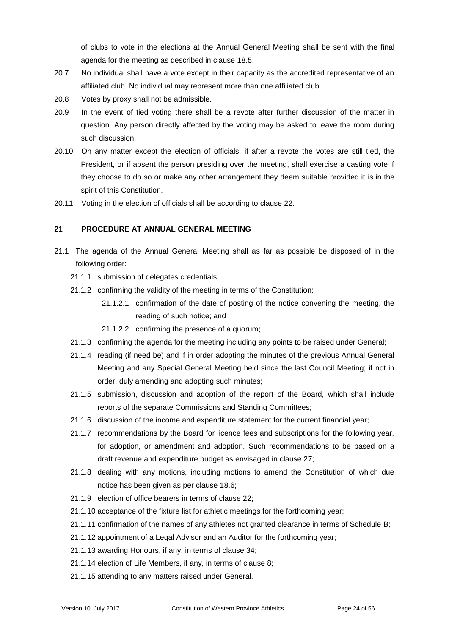of clubs to vote in the elections at the Annual General Meeting shall be sent with the final agenda for the meeting as described in clause 18.5.

- 20.7 No individual shall have a vote except in their capacity as the accredited representative of an affiliated club. No individual may represent more than one affiliated club.
- 20.8 Votes by proxy shall not be admissible.
- 20.9 In the event of tied voting there shall be a revote after further discussion of the matter in question. Any person directly affected by the voting may be asked to leave the room during such discussion.
- 20.10 On any matter except the election of officials, if after a revote the votes are still tied, the President, or if absent the person presiding over the meeting, shall exercise a casting vote if they choose to do so or make any other arrangement they deem suitable provided it is in the spirit of this Constitution.
- 20.11 Voting in the election of officials shall be according to clause 22.

#### **21 PROCEDURE AT ANNUAL GENERAL MEETING**

- 21.1 The agenda of the Annual General Meeting shall as far as possible be disposed of in the following order:
	- 21.1.1 submission of delegates credentials;
	- 21.1.2 confirming the validity of the meeting in terms of the Constitution:
		- 21.1.2.1 confirmation of the date of posting of the notice convening the meeting, the reading of such notice; and
		- 21.1.2.2 confirming the presence of a quorum;
	- 21.1.3 confirming the agenda for the meeting including any points to be raised under General;
	- 21.1.4 reading (if need be) and if in order adopting the minutes of the previous Annual General Meeting and any Special General Meeting held since the last Council Meeting; if not in order, duly amending and adopting such minutes;
	- 21.1.5 submission, discussion and adoption of the report of the Board, which shall include reports of the separate Commissions and Standing Committees;
	- 21.1.6 discussion of the income and expenditure statement for the current financial year;
	- 21.1.7 recommendations by the Board for licence fees and subscriptions for the following year, for adoption, or amendment and adoption. Such recommendations to be based on a draft revenue and expenditure budget as envisaged in clause 27;.
	- 21.1.8 dealing with any motions, including motions to amend the Constitution of which due notice has been given as per clause 18.6;
	- 21.1.9 election of office bearers in terms of clause 22;
	- 21.1.10 acceptance of the fixture list for athletic meetings for the forthcoming year;
	- 21.1.11 confirmation of the names of any athletes not granted clearance in terms of Schedule B;
	- 21.1.12 appointment of a Legal Advisor and an Auditor for the forthcoming year;
	- 21.1.13 awarding Honours, if any, in terms of clause 34;
	- 21.1.14 election of Life Members, if any, in terms of clause 8;
	- 21.1.15 attending to any matters raised under General.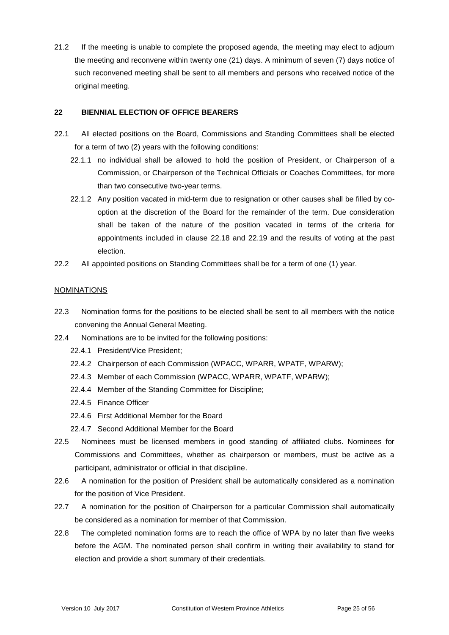21.2 If the meeting is unable to complete the proposed agenda, the meeting may elect to adjourn the meeting and reconvene within twenty one (21) days. A minimum of seven (7) days notice of such reconvened meeting shall be sent to all members and persons who received notice of the original meeting.

## **22 BIENNIAL ELECTION OF OFFICE BEARERS**

- 22.1 All elected positions on the Board, Commissions and Standing Committees shall be elected for a term of two (2) years with the following conditions:
	- 22.1.1 no individual shall be allowed to hold the position of President, or Chairperson of a Commission, or Chairperson of the Technical Officials or Coaches Committees, for more than two consecutive two-year terms.
	- 22.1.2 Any position vacated in mid-term due to resignation or other causes shall be filled by cooption at the discretion of the Board for the remainder of the term. Due consideration shall be taken of the nature of the position vacated in terms of the criteria for appointments included in clause 22.18 and 22.19 and the results of voting at the past election.
- 22.2 All appointed positions on Standing Committees shall be for a term of one (1) year.

## **NOMINATIONS**

- 22.3 Nomination forms for the positions to be elected shall be sent to all members with the notice convening the Annual General Meeting.
- 22.4 Nominations are to be invited for the following positions:
	- 22.4.1 President/Vice President;
	- 22.4.2 Chairperson of each Commission (WPACC, WPARR, WPATF, WPARW);
	- 22.4.3 Member of each Commission (WPACC, WPARR, WPATF, WPARW);
	- 22.4.4 Member of the Standing Committee for Discipline;
	- 22.4.5 Finance Officer
	- 22.4.6 First Additional Member for the Board
	- 22.4.7 Second Additional Member for the Board
- 22.5 Nominees must be licensed members in good standing of affiliated clubs. Nominees for Commissions and Committees, whether as chairperson or members, must be active as a participant, administrator or official in that discipline.
- 22.6 A nomination for the position of President shall be automatically considered as a nomination for the position of Vice President.
- 22.7 A nomination for the position of Chairperson for a particular Commission shall automatically be considered as a nomination for member of that Commission.
- 22.8 The completed nomination forms are to reach the office of WPA by no later than five weeks before the AGM. The nominated person shall confirm in writing their availability to stand for election and provide a short summary of their credentials.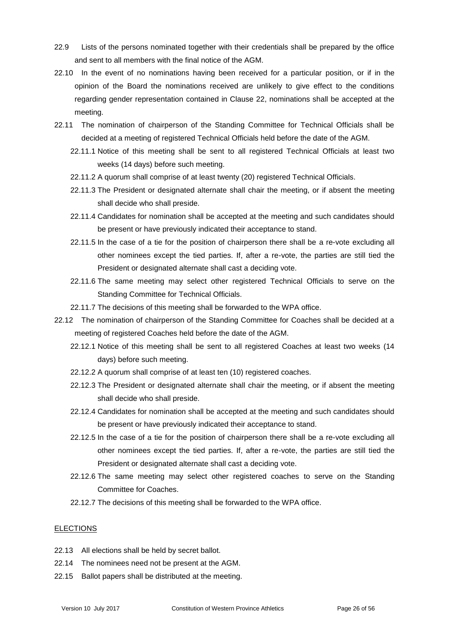- 22.9 Lists of the persons nominated together with their credentials shall be prepared by the office and sent to all members with the final notice of the AGM.
- 22.10 In the event of no nominations having been received for a particular position, or if in the opinion of the Board the nominations received are unlikely to give effect to the conditions regarding gender representation contained in Clause 22, nominations shall be accepted at the meeting.
- 22.11 The nomination of chairperson of the Standing Committee for Technical Officials shall be decided at a meeting of registered Technical Officials held before the date of the AGM.
	- 22.11.1 Notice of this meeting shall be sent to all registered Technical Officials at least two weeks (14 days) before such meeting.
	- 22.11.2 A quorum shall comprise of at least twenty (20) registered Technical Officials.
	- 22.11.3 The President or designated alternate shall chair the meeting, or if absent the meeting shall decide who shall preside.
	- 22.11.4 Candidates for nomination shall be accepted at the meeting and such candidates should be present or have previously indicated their acceptance to stand.
	- 22.11.5 In the case of a tie for the position of chairperson there shall be a re-vote excluding all other nominees except the tied parties. If, after a re-vote, the parties are still tied the President or designated alternate shall cast a deciding vote.
	- 22.11.6 The same meeting may select other registered Technical Officials to serve on the Standing Committee for Technical Officials.
	- 22.11.7 The decisions of this meeting shall be forwarded to the WPA office.
- 22.12 The nomination of chairperson of the Standing Committee for Coaches shall be decided at a meeting of registered Coaches held before the date of the AGM.
	- 22.12.1 Notice of this meeting shall be sent to all registered Coaches at least two weeks (14 days) before such meeting.
	- 22.12.2 A quorum shall comprise of at least ten (10) registered coaches.
	- 22.12.3 The President or designated alternate shall chair the meeting, or if absent the meeting shall decide who shall preside.
	- 22.12.4 Candidates for nomination shall be accepted at the meeting and such candidates should be present or have previously indicated their acceptance to stand.
	- 22.12.5 In the case of a tie for the position of chairperson there shall be a re-vote excluding all other nominees except the tied parties. If, after a re-vote, the parties are still tied the President or designated alternate shall cast a deciding vote.
	- 22.12.6 The same meeting may select other registered coaches to serve on the Standing Committee for Coaches.
	- 22.12.7 The decisions of this meeting shall be forwarded to the WPA office.

#### ELECTIONS

- 22.13 All elections shall be held by secret ballot.
- 22.14 The nominees need not be present at the AGM.
- 22.15 Ballot papers shall be distributed at the meeting.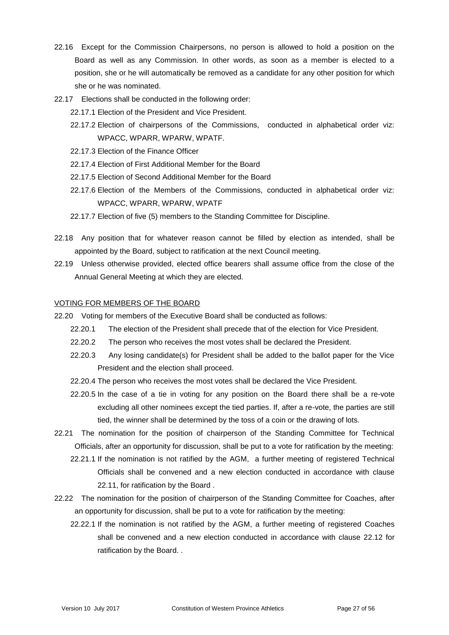- 22.16 Except for the Commission Chairpersons, no person is allowed to hold a position on the Board as well as any Commission. In other words, as soon as a member is elected to a position, she or he will automatically be removed as a candidate for any other position for which she or he was nominated.
- 22.17 Elections shall be conducted in the following order:
	- 22.17.1 Election of the President and Vice President.
	- 22.17.2 Election of chairpersons of the Commissions, conducted in alphabetical order viz: WPACC, WPARR, WPARW, WPATF.
	- 22.17.3 Election of the Finance Officer
	- 22.17.4 Election of First Additional Member for the Board
	- 22.17.5 Election of Second Additional Member for the Board
	- 22.17.6 Election of the Members of the Commissions, conducted in alphabetical order viz: WPACC, WPARR, WPARW, WPATF
	- 22.17.7 Election of five (5) members to the Standing Committee for Discipline.
- 22.18 Any position that for whatever reason cannot be filled by election as intended, shall be appointed by the Board, subject to ratification at the next Council meeting.
- 22.19 Unless otherwise provided, elected office bearers shall assume office from the close of the Annual General Meeting at which they are elected.

## VOTING FOR MEMBERS OF THE BOARD

- 22.20 Voting for members of the Executive Board shall be conducted as follows:
	- 22.20.1 The election of the President shall precede that of the election for Vice President.
	- 22.20.2 The person who receives the most votes shall be declared the President.
	- 22.20.3 Any losing candidate(s) for President shall be added to the ballot paper for the Vice President and the election shall proceed.
	- 22.20.4 The person who receives the most votes shall be declared the Vice President.
	- 22.20.5 In the case of a tie in voting for any position on the Board there shall be a re-vote excluding all other nominees except the tied parties. If, after a re-vote, the parties are still tied, the winner shall be determined by the toss of a coin or the drawing of lots.
- 22.21 The nomination for the position of chairperson of the Standing Committee for Technical Officials, after an opportunity for discussion, shall be put to a vote for ratification by the meeting:
	- 22.21.1 If the nomination is not ratified by the AGM, a further meeting of registered Technical Officials shall be convened and a new election conducted in accordance with clause 22.11, for ratification by the Board .
- 22.22 The nomination for the position of chairperson of the Standing Committee for Coaches, after an opportunity for discussion, shall be put to a vote for ratification by the meeting:
	- 22.22.1 If the nomination is not ratified by the AGM, a further meeting of registered Coaches shall be convened and a new election conducted in accordance with clause 22.12 for ratification by the Board. .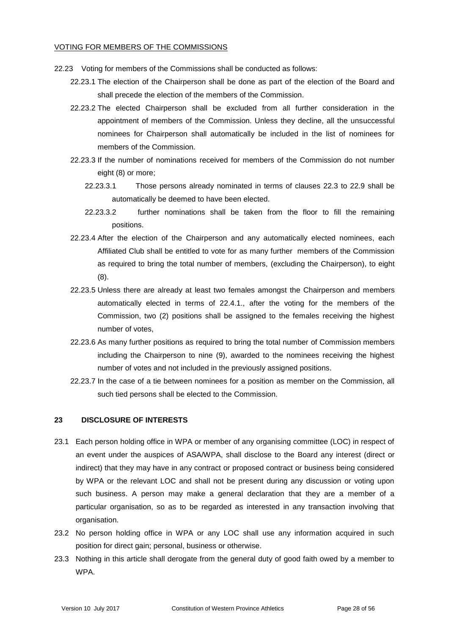#### VOTING FOR MEMBERS OF THE COMMISSIONS

- 22.23 Voting for members of the Commissions shall be conducted as follows:
	- 22.23.1 The election of the Chairperson shall be done as part of the election of the Board and shall precede the election of the members of the Commission.
	- 22.23.2 The elected Chairperson shall be excluded from all further consideration in the appointment of members of the Commission. Unless they decline, all the unsuccessful nominees for Chairperson shall automatically be included in the list of nominees for members of the Commission.
	- 22.23.3 If the number of nominations received for members of the Commission do not number eight (8) or more;
		- 22.23.3.1 Those persons already nominated in terms of clauses 22.3 to 22.9 shall be automatically be deemed to have been elected.
		- 22.23.3.2 further nominations shall be taken from the floor to fill the remaining positions.
	- 22.23.4 After the election of the Chairperson and any automatically elected nominees, each Affiliated Club shall be entitled to vote for as many further members of the Commission as required to bring the total number of members, (excluding the Chairperson), to eight (8).
	- 22.23.5 Unless there are already at least two females amongst the Chairperson and members automatically elected in terms of 22.4.1., after the voting for the members of the Commission, two (2) positions shall be assigned to the females receiving the highest number of votes,
	- 22.23.6 As many further positions as required to bring the total number of Commission members including the Chairperson to nine (9), awarded to the nominees receiving the highest number of votes and not included in the previously assigned positions.
	- 22.23.7 In the case of a tie between nominees for a position as member on the Commission, all such tied persons shall be elected to the Commission.

## **23 DISCLOSURE OF INTERESTS**

- 23.1 Each person holding office in WPA or member of any organising committee (LOC) in respect of an event under the auspices of ASA/WPA, shall disclose to the Board any interest (direct or indirect) that they may have in any contract or proposed contract or business being considered by WPA or the relevant LOC and shall not be present during any discussion or voting upon such business. A person may make a general declaration that they are a member of a particular organisation, so as to be regarded as interested in any transaction involving that organisation.
- 23.2 No person holding office in WPA or any LOC shall use any information acquired in such position for direct gain; personal, business or otherwise.
- 23.3 Nothing in this article shall derogate from the general duty of good faith owed by a member to WPA.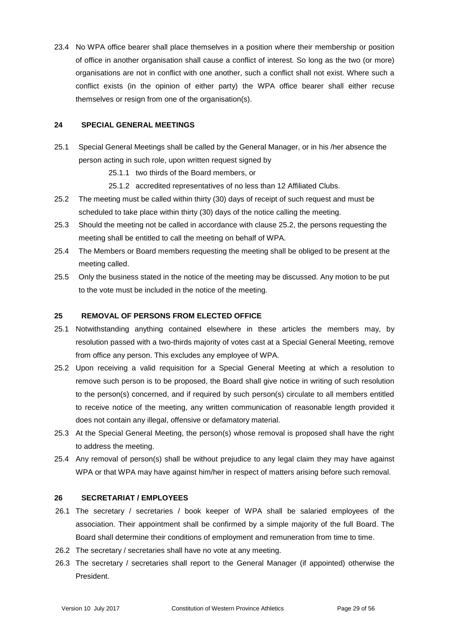23.4 No WPA office bearer shall place themselves in a position where their membership or position of office in another organisation shall cause a conflict of interest. So long as the two (or more) organisations are not in conflict with one another, such a conflict shall not exist. Where such a conflict exists (in the opinion of either party) the WPA office bearer shall either recuse themselves or resign from one of the organisation(s).

#### **24 SPECIAL GENERAL MEETINGS**

- 25.1 Special General Meetings shall be called by the General Manager, or in his /her absence the person acting in such role, upon written request signed by
	- 25.1.1 two thirds of the Board members, or
	- 25.1.2 accredited representatives of no less than 12 Affiliated Clubs.
- 25.2 The meeting must be called within thirty (30) days of receipt of such request and must be scheduled to take place within thirty (30) days of the notice calling the meeting.
- 25.3 Should the meeting not be called in accordance with clause 25.2, the persons requesting the meeting shall be entitled to call the meeting on behalf of WPA.
- 25.4 The Members or Board members requesting the meeting shall be obliged to be present at the meeting called.
- 25.5 Only the business stated in the notice of the meeting may be discussed. Any motion to be put to the vote must be included in the notice of the meeting.

#### **25 REMOVAL OF PERSONS FROM ELECTED OFFICE**

- 25.1 Notwithstanding anything contained elsewhere in these articles the members may, by resolution passed with a two-thirds majority of votes cast at a Special General Meeting, remove from office any person. This excludes any employee of WPA.
- 25.2 Upon receiving a valid requisition for a Special General Meeting at which a resolution to remove such person is to be proposed, the Board shall give notice in writing of such resolution to the person(s) concerned, and if required by such person(s) circulate to all members entitled to receive notice of the meeting, any written communication of reasonable length provided it does not contain any illegal, offensive or defamatory material.
- 25.3 At the Special General Meeting, the person(s) whose removal is proposed shall have the right to address the meeting.
- 25.4 Any removal of person(s) shall be without prejudice to any legal claim they may have against WPA or that WPA may have against him/her in respect of matters arising before such removal.

#### **26 SECRETARIAT / EMPLOYEES**

- 26.1 The secretary / secretaries / book keeper of WPA shall be salaried employees of the association. Their appointment shall be confirmed by a simple majority of the full Board. The Board shall determine their conditions of employment and remuneration from time to time.
- 26.2 The secretary / secretaries shall have no vote at any meeting.
- 26.3 The secretary / secretaries shall report to the General Manager (if appointed) otherwise the President.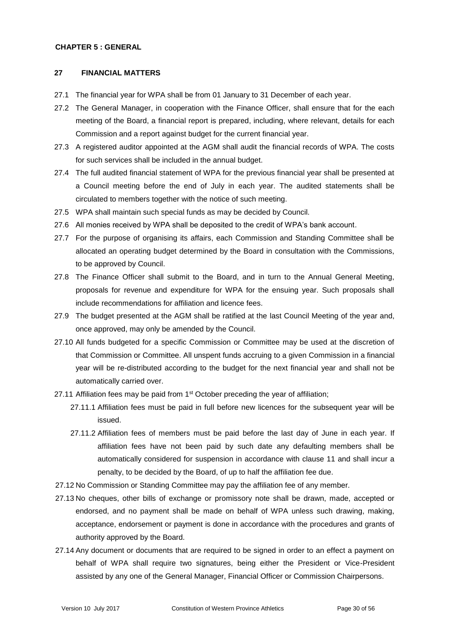#### **CHAPTER 5 : GENERAL**

#### **27 FINANCIAL MATTERS**

- 27.1 The financial year for WPA shall be from 01 January to 31 December of each year.
- 27.2 The General Manager, in cooperation with the Finance Officer, shall ensure that for the each meeting of the Board, a financial report is prepared, including, where relevant, details for each Commission and a report against budget for the current financial year.
- 27.3 A registered auditor appointed at the AGM shall audit the financial records of WPA. The costs for such services shall be included in the annual budget.
- 27.4 The full audited financial statement of WPA for the previous financial year shall be presented at a Council meeting before the end of July in each year. The audited statements shall be circulated to members together with the notice of such meeting.
- 27.5 WPA shall maintain such special funds as may be decided by Council.
- 27.6 All monies received by WPA shall be deposited to the credit of WPA's bank account.
- 27.7 For the purpose of organising its affairs, each Commission and Standing Committee shall be allocated an operating budget determined by the Board in consultation with the Commissions, to be approved by Council.
- 27.8 The Finance Officer shall submit to the Board, and in turn to the Annual General Meeting, proposals for revenue and expenditure for WPA for the ensuing year. Such proposals shall include recommendations for affiliation and licence fees.
- 27.9 The budget presented at the AGM shall be ratified at the last Council Meeting of the year and, once approved, may only be amended by the Council.
- 27.10 All funds budgeted for a specific Commission or Committee may be used at the discretion of that Commission or Committee. All unspent funds accruing to a given Commission in a financial year will be re-distributed according to the budget for the next financial year and shall not be automatically carried over.
- 27.11 Affiliation fees may be paid from 1<sup>st</sup> October preceding the year of affiliation;
	- 27.11.1 Affiliation fees must be paid in full before new licences for the subsequent year will be issued.
	- 27.11.2 Affiliation fees of members must be paid before the last day of June in each year. If affiliation fees have not been paid by such date any defaulting members shall be automatically considered for suspension in accordance with clause 11 and shall incur a penalty, to be decided by the Board, of up to half the affiliation fee due.
- 27.12 No Commission or Standing Committee may pay the affiliation fee of any member.
- 27.13 No cheques, other bills of exchange or promissory note shall be drawn, made, accepted or endorsed, and no payment shall be made on behalf of WPA unless such drawing, making, acceptance, endorsement or payment is done in accordance with the procedures and grants of authority approved by the Board.
- 27.14 Any document or documents that are required to be signed in order to an effect a payment on behalf of WPA shall require two signatures, being either the President or Vice-President assisted by any one of the General Manager, Financial Officer or Commission Chairpersons.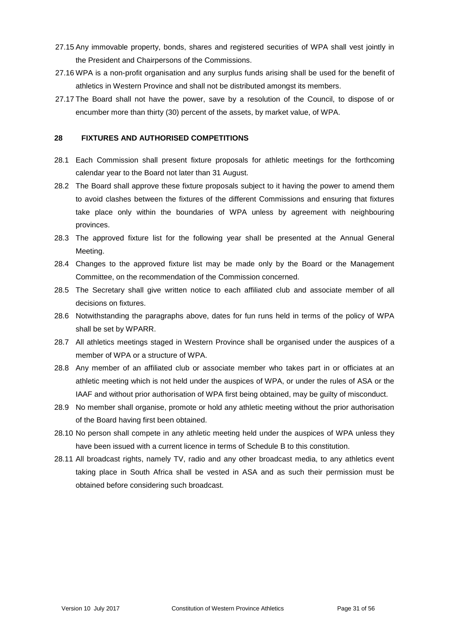- 27.15 Any immovable property, bonds, shares and registered securities of WPA shall vest jointly in the President and Chairpersons of the Commissions.
- 27.16 WPA is a non-profit organisation and any surplus funds arising shall be used for the benefit of athletics in Western Province and shall not be distributed amongst its members.
- 27.17 The Board shall not have the power, save by a resolution of the Council, to dispose of or encumber more than thirty (30) percent of the assets, by market value, of WPA.

#### **28 FIXTURES AND AUTHORISED COMPETITIONS**

- 28.1 Each Commission shall present fixture proposals for athletic meetings for the forthcoming calendar year to the Board not later than 31 August.
- 28.2 The Board shall approve these fixture proposals subject to it having the power to amend them to avoid clashes between the fixtures of the different Commissions and ensuring that fixtures take place only within the boundaries of WPA unless by agreement with neighbouring provinces.
- 28.3 The approved fixture list for the following year shall be presented at the Annual General Meeting.
- 28.4 Changes to the approved fixture list may be made only by the Board or the Management Committee, on the recommendation of the Commission concerned.
- 28.5 The Secretary shall give written notice to each affiliated club and associate member of all decisions on fixtures.
- 28.6 Notwithstanding the paragraphs above, dates for fun runs held in terms of the policy of WPA shall be set by WPARR.
- 28.7 All athletics meetings staged in Western Province shall be organised under the auspices of a member of WPA or a structure of WPA.
- 28.8 Any member of an affiliated club or associate member who takes part in or officiates at an athletic meeting which is not held under the auspices of WPA, or under the rules of ASA or the IAAF and without prior authorisation of WPA first being obtained, may be guilty of misconduct.
- 28.9 No member shall organise, promote or hold any athletic meeting without the prior authorisation of the Board having first been obtained.
- 28.10 No person shall compete in any athletic meeting held under the auspices of WPA unless they have been issued with a current licence in terms of Schedule B to this constitution.
- 28.11 All broadcast rights, namely TV, radio and any other broadcast media, to any athletics event taking place in South Africa shall be vested in ASA and as such their permission must be obtained before considering such broadcast.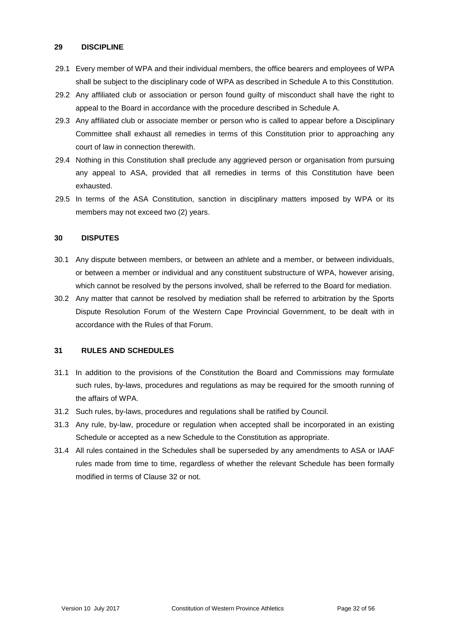#### **29 DISCIPLINE**

- 29.1 Every member of WPA and their individual members, the office bearers and employees of WPA shall be subject to the disciplinary code of WPA as described in Schedule A to this Constitution.
- 29.2 Any affiliated club or association or person found guilty of misconduct shall have the right to appeal to the Board in accordance with the procedure described in Schedule A.
- 29.3 Any affiliated club or associate member or person who is called to appear before a Disciplinary Committee shall exhaust all remedies in terms of this Constitution prior to approaching any court of law in connection therewith.
- 29.4 Nothing in this Constitution shall preclude any aggrieved person or organisation from pursuing any appeal to ASA, provided that all remedies in terms of this Constitution have been exhausted.
- 29.5 In terms of the ASA Constitution, sanction in disciplinary matters imposed by WPA or its members may not exceed two (2) years.

## **30 DISPUTES**

- 30.1 Any dispute between members, or between an athlete and a member, or between individuals, or between a member or individual and any constituent substructure of WPA, however arising, which cannot be resolved by the persons involved, shall be referred to the Board for mediation.
- 30.2 Any matter that cannot be resolved by mediation shall be referred to arbitration by the Sports Dispute Resolution Forum of the Western Cape Provincial Government, to be dealt with in accordance with the Rules of that Forum.

#### **31 RULES AND SCHEDULES**

- 31.1 In addition to the provisions of the Constitution the Board and Commissions may formulate such rules, by-laws, procedures and regulations as may be required for the smooth running of the affairs of WPA.
- 31.2 Such rules, by-laws, procedures and regulations shall be ratified by Council.
- 31.3 Any rule, by-law, procedure or regulation when accepted shall be incorporated in an existing Schedule or accepted as a new Schedule to the Constitution as appropriate.
- 31.4 All rules contained in the Schedules shall be superseded by any amendments to ASA or IAAF rules made from time to time, regardless of whether the relevant Schedule has been formally modified in terms of Clause 32 or not.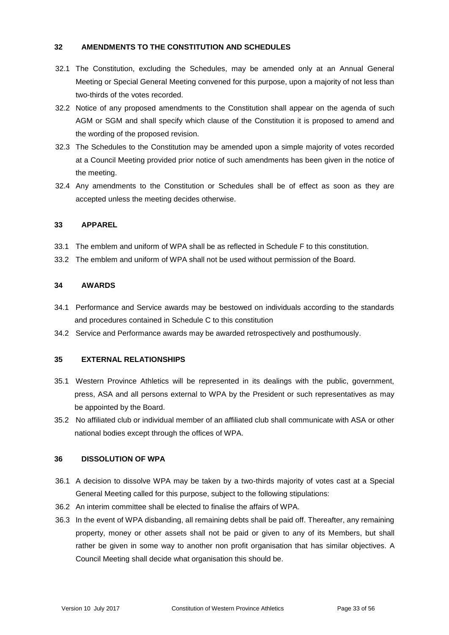#### **32 AMENDMENTS TO THE CONSTITUTION AND SCHEDULES**

- 32.1 The Constitution, excluding the Schedules, may be amended only at an Annual General Meeting or Special General Meeting convened for this purpose, upon a majority of not less than two-thirds of the votes recorded.
- 32.2 Notice of any proposed amendments to the Constitution shall appear on the agenda of such AGM or SGM and shall specify which clause of the Constitution it is proposed to amend and the wording of the proposed revision.
- 32.3 The Schedules to the Constitution may be amended upon a simple majority of votes recorded at a Council Meeting provided prior notice of such amendments has been given in the notice of the meeting.
- 32.4 Any amendments to the Constitution or Schedules shall be of effect as soon as they are accepted unless the meeting decides otherwise.

## **33 APPAREL**

- 33.1 The emblem and uniform of WPA shall be as reflected in Schedule F to this constitution.
- 33.2 The emblem and uniform of WPA shall not be used without permission of the Board.

## **34 AWARDS**

- 34.1 Performance and Service awards may be bestowed on individuals according to the standards and procedures contained in Schedule C to this constitution
- 34.2 Service and Performance awards may be awarded retrospectively and posthumously.

## **35 EXTERNAL RELATIONSHIPS**

- 35.1 Western Province Athletics will be represented in its dealings with the public, government, press, ASA and all persons external to WPA by the President or such representatives as may be appointed by the Board.
- 35.2 No affiliated club or individual member of an affiliated club shall communicate with ASA or other national bodies except through the offices of WPA.

#### **36 DISSOLUTION OF WPA**

- 36.1 A decision to dissolve WPA may be taken by a two-thirds majority of votes cast at a Special General Meeting called for this purpose, subject to the following stipulations:
- 36.2 An interim committee shall be elected to finalise the affairs of WPA.
- 36.3 In the event of WPA disbanding, all remaining debts shall be paid off. Thereafter, any remaining property, money or other assets shall not be paid or given to any of its Members, but shall rather be given in some way to another non profit organisation that has similar objectives. A Council Meeting shall decide what organisation this should be.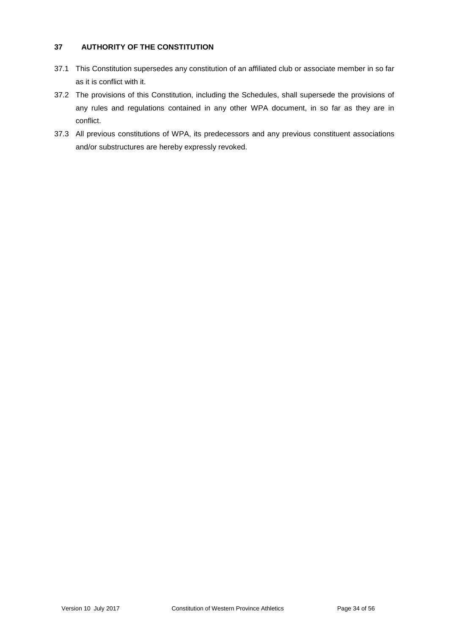## **37 AUTHORITY OF THE CONSTITUTION**

- 37.1 This Constitution supersedes any constitution of an affiliated club or associate member in so far as it is conflict with it.
- 37.2 The provisions of this Constitution, including the Schedules, shall supersede the provisions of any rules and regulations contained in any other WPA document, in so far as they are in conflict.
- 37.3 All previous constitutions of WPA, its predecessors and any previous constituent associations and/or substructures are hereby expressly revoked.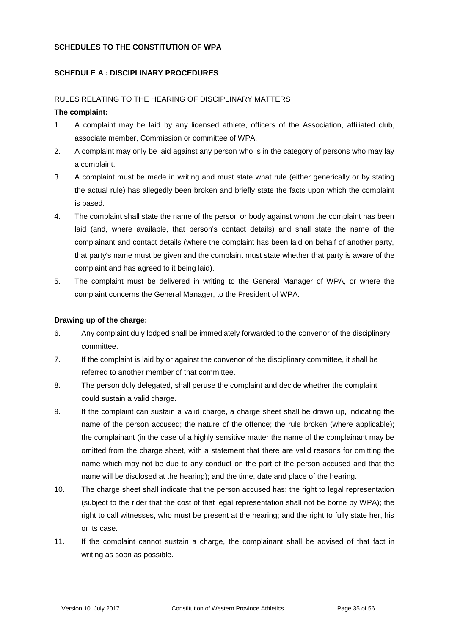## **SCHEDULES TO THE CONSTITUTION OF WPA**

## **SCHEDULE A : DISCIPLINARY PROCEDURES**

#### RULES RELATING TO THE HEARING OF DISCIPLINARY MATTERS

#### **The complaint:**

- 1. A complaint may be laid by any licensed athlete, officers of the Association, affiliated club, associate member, Commission or committee of WPA.
- 2. A complaint may only be laid against any person who is in the category of persons who may lay a complaint.
- 3. A complaint must be made in writing and must state what rule (either generically or by stating the actual rule) has allegedly been broken and briefly state the facts upon which the complaint is based.
- 4. The complaint shall state the name of the person or body against whom the complaint has been laid (and, where available, that person's contact details) and shall state the name of the complainant and contact details (where the complaint has been laid on behalf of another party, that party's name must be given and the complaint must state whether that party is aware of the complaint and has agreed to it being laid).
- 5. The complaint must be delivered in writing to the General Manager of WPA, or where the complaint concerns the General Manager, to the President of WPA.

#### **Drawing up of the charge:**

- 6. Any complaint duly lodged shall be immediately forwarded to the convenor of the disciplinary committee.
- 7. If the complaint is laid by or against the convenor of the disciplinary committee, it shall be referred to another member of that committee.
- 8. The person duly delegated, shall peruse the complaint and decide whether the complaint could sustain a valid charge.
- 9. If the complaint can sustain a valid charge, a charge sheet shall be drawn up, indicating the name of the person accused; the nature of the offence; the rule broken (where applicable); the complainant (in the case of a highly sensitive matter the name of the complainant may be omitted from the charge sheet, with a statement that there are valid reasons for omitting the name which may not be due to any conduct on the part of the person accused and that the name will be disclosed at the hearing); and the time, date and place of the hearing.
- 10. The charge sheet shall indicate that the person accused has: the right to legal representation (subject to the rider that the cost of that legal representation shall not be borne by WPA); the right to call witnesses, who must be present at the hearing; and the right to fully state her, his or its case.
- 11. If the complaint cannot sustain a charge, the complainant shall be advised of that fact in writing as soon as possible.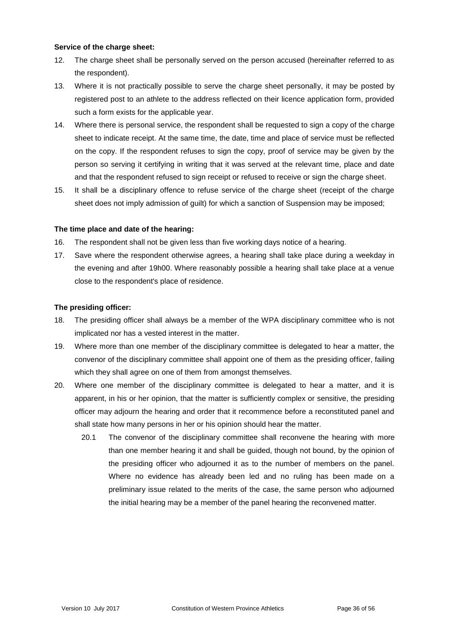#### **Service of the charge sheet:**

- 12. The charge sheet shall be personally served on the person accused (hereinafter referred to as the respondent).
- 13. Where it is not practically possible to serve the charge sheet personally, it may be posted by registered post to an athlete to the address reflected on their licence application form, provided such a form exists for the applicable year.
- 14. Where there is personal service, the respondent shall be requested to sign a copy of the charge sheet to indicate receipt. At the same time, the date, time and place of service must be reflected on the copy. If the respondent refuses to sign the copy, proof of service may be given by the person so serving it certifying in writing that it was served at the relevant time, place and date and that the respondent refused to sign receipt or refused to receive or sign the charge sheet.
- 15. It shall be a disciplinary offence to refuse service of the charge sheet (receipt of the charge sheet does not imply admission of guilt) for which a sanction of Suspension may be imposed;

#### **The time place and date of the hearing:**

- 16. The respondent shall not be given less than five working days notice of a hearing.
- 17. Save where the respondent otherwise agrees, a hearing shall take place during a weekday in the evening and after 19h00. Where reasonably possible a hearing shall take place at a venue close to the respondent's place of residence.

#### **The presiding officer:**

- 18. The presiding officer shall always be a member of the WPA disciplinary committee who is not implicated nor has a vested interest in the matter.
- 19. Where more than one member of the disciplinary committee is delegated to hear a matter, the convenor of the disciplinary committee shall appoint one of them as the presiding officer, failing which they shall agree on one of them from amongst themselves.
- 20. Where one member of the disciplinary committee is delegated to hear a matter, and it is apparent, in his or her opinion, that the matter is sufficiently complex or sensitive, the presiding officer may adjourn the hearing and order that it recommence before a reconstituted panel and shall state how many persons in her or his opinion should hear the matter.
	- 20.1 The convenor of the disciplinary committee shall reconvene the hearing with more than one member hearing it and shall be guided, though not bound, by the opinion of the presiding officer who adjourned it as to the number of members on the panel. Where no evidence has already been led and no ruling has been made on a preliminary issue related to the merits of the case, the same person who adjourned the initial hearing may be a member of the panel hearing the reconvened matter.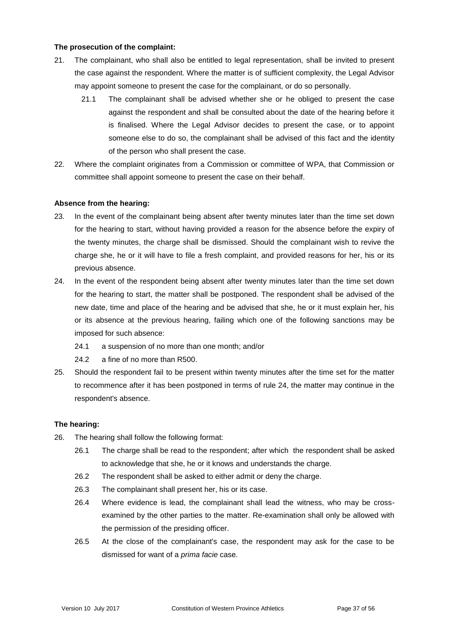#### **The prosecution of the complaint:**

- 21. The complainant, who shall also be entitled to legal representation, shall be invited to present the case against the respondent. Where the matter is of sufficient complexity, the Legal Advisor may appoint someone to present the case for the complainant, or do so personally.
	- 21.1 The complainant shall be advised whether she or he obliged to present the case against the respondent and shall be consulted about the date of the hearing before it is finalised. Where the Legal Advisor decides to present the case, or to appoint someone else to do so, the complainant shall be advised of this fact and the identity of the person who shall present the case.
- 22. Where the complaint originates from a Commission or committee of WPA, that Commission or committee shall appoint someone to present the case on their behalf.

#### **Absence from the hearing:**

- 23. In the event of the complainant being absent after twenty minutes later than the time set down for the hearing to start, without having provided a reason for the absence before the expiry of the twenty minutes, the charge shall be dismissed. Should the complainant wish to revive the charge she, he or it will have to file a fresh complaint, and provided reasons for her, his or its previous absence.
- 24. In the event of the respondent being absent after twenty minutes later than the time set down for the hearing to start, the matter shall be postponed. The respondent shall be advised of the new date, time and place of the hearing and be advised that she, he or it must explain her, his or its absence at the previous hearing, failing which one of the following sanctions may be imposed for such absence:
	- 24.1 a suspension of no more than one month; and/or
	- 24.2 a fine of no more than R500.
- 25. Should the respondent fail to be present within twenty minutes after the time set for the matter to recommence after it has been postponed in terms of rule 24, the matter may continue in the respondent's absence.

#### **The hearing:**

- 26. The hearing shall follow the following format:
	- 26.1 The charge shall be read to the respondent; after which the respondent shall be asked to acknowledge that she, he or it knows and understands the charge.
	- 26.2 The respondent shall be asked to either admit or deny the charge.
	- 26.3 The complainant shall present her, his or its case.
	- 26.4 Where evidence is lead, the complainant shall lead the witness, who may be crossexamined by the other parties to the matter. Re-examination shall only be allowed with the permission of the presiding officer.
	- 26.5 At the close of the complainant's case, the respondent may ask for the case to be dismissed for want of a *prima facie* case.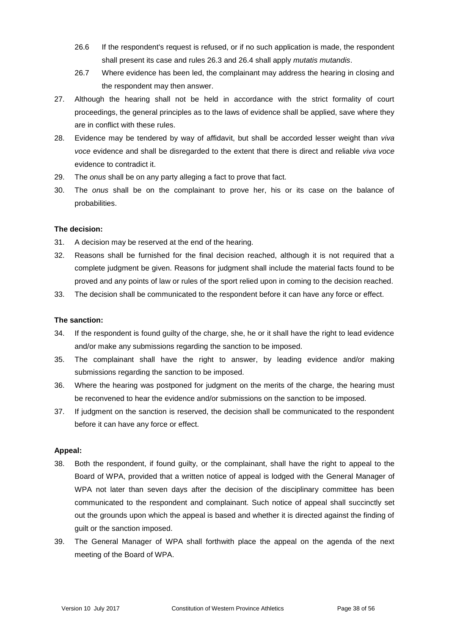- 26.6 If the respondent's request is refused, or if no such application is made, the respondent shall present its case and rules 26.3 and 26.4 shall apply *mutatis mutandis*.
- 26.7 Where evidence has been led, the complainant may address the hearing in closing and the respondent may then answer.
- 27. Although the hearing shall not be held in accordance with the strict formality of court proceedings, the general principles as to the laws of evidence shall be applied, save where they are in conflict with these rules.
- 28. Evidence may be tendered by way of affidavit, but shall be accorded lesser weight than *viva voce* evidence and shall be disregarded to the extent that there is direct and reliable *viva voce* evidence to contradict it.
- 29. The *onus* shall be on any party alleging a fact to prove that fact.
- 30. The *onus* shall be on the complainant to prove her, his or its case on the balance of probabilities.

#### **The decision:**

- 31. A decision may be reserved at the end of the hearing.
- 32. Reasons shall be furnished for the final decision reached, although it is not required that a complete judgment be given. Reasons for judgment shall include the material facts found to be proved and any points of law or rules of the sport relied upon in coming to the decision reached.
- 33. The decision shall be communicated to the respondent before it can have any force or effect.

#### **The sanction:**

- 34. If the respondent is found guilty of the charge, she, he or it shall have the right to lead evidence and/or make any submissions regarding the sanction to be imposed.
- 35. The complainant shall have the right to answer, by leading evidence and/or making submissions regarding the sanction to be imposed.
- 36. Where the hearing was postponed for judgment on the merits of the charge, the hearing must be reconvened to hear the evidence and/or submissions on the sanction to be imposed.
- 37. If judgment on the sanction is reserved, the decision shall be communicated to the respondent before it can have any force or effect.

#### **Appeal:**

- 38. Both the respondent, if found guilty, or the complainant, shall have the right to appeal to the Board of WPA, provided that a written notice of appeal is lodged with the General Manager of WPA not later than seven days after the decision of the disciplinary committee has been communicated to the respondent and complainant. Such notice of appeal shall succinctly set out the grounds upon which the appeal is based and whether it is directed against the finding of guilt or the sanction imposed.
- 39. The General Manager of WPA shall forthwith place the appeal on the agenda of the next meeting of the Board of WPA.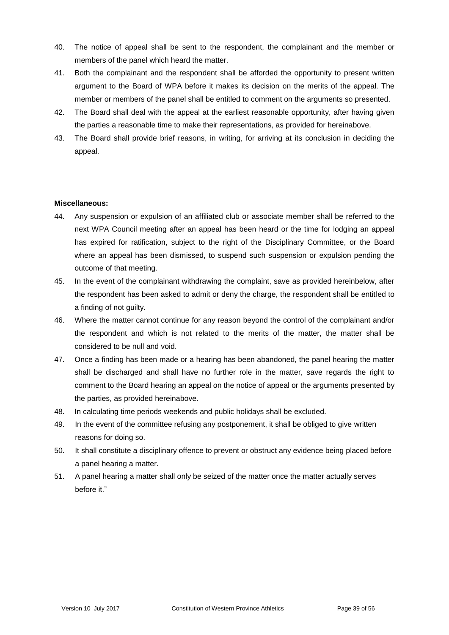- 40. The notice of appeal shall be sent to the respondent, the complainant and the member or members of the panel which heard the matter.
- 41. Both the complainant and the respondent shall be afforded the opportunity to present written argument to the Board of WPA before it makes its decision on the merits of the appeal. The member or members of the panel shall be entitled to comment on the arguments so presented.
- 42. The Board shall deal with the appeal at the earliest reasonable opportunity, after having given the parties a reasonable time to make their representations, as provided for hereinabove.
- 43. The Board shall provide brief reasons, in writing, for arriving at its conclusion in deciding the appeal.

#### **Miscellaneous:**

- 44. Any suspension or expulsion of an affiliated club or associate member shall be referred to the next WPA Council meeting after an appeal has been heard or the time for lodging an appeal has expired for ratification, subject to the right of the Disciplinary Committee, or the Board where an appeal has been dismissed, to suspend such suspension or expulsion pending the outcome of that meeting.
- 45. In the event of the complainant withdrawing the complaint, save as provided hereinbelow, after the respondent has been asked to admit or deny the charge, the respondent shall be entitled to a finding of not guilty.
- 46. Where the matter cannot continue for any reason beyond the control of the complainant and/or the respondent and which is not related to the merits of the matter, the matter shall be considered to be null and void.
- 47. Once a finding has been made or a hearing has been abandoned, the panel hearing the matter shall be discharged and shall have no further role in the matter, save regards the right to comment to the Board hearing an appeal on the notice of appeal or the arguments presented by the parties, as provided hereinabove.
- 48. In calculating time periods weekends and public holidays shall be excluded.
- 49. In the event of the committee refusing any postponement, it shall be obliged to give written reasons for doing so.
- 50. It shall constitute a disciplinary offence to prevent or obstruct any evidence being placed before a panel hearing a matter.
- 51. A panel hearing a matter shall only be seized of the matter once the matter actually serves before it."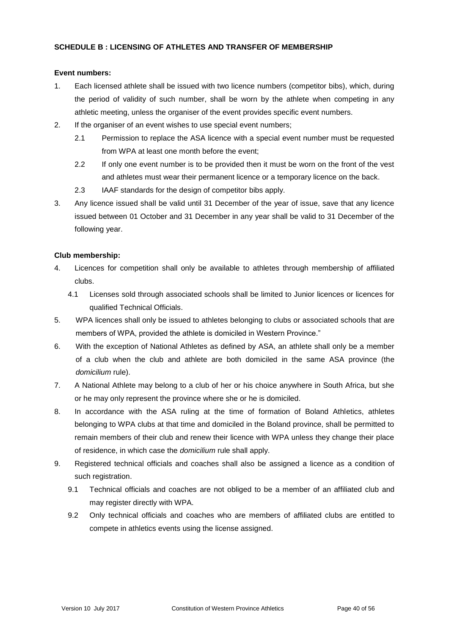#### **SCHEDULE B : LICENSING OF ATHLETES AND TRANSFER OF MEMBERSHIP**

#### **Event numbers:**

- 1. Each licensed athlete shall be issued with two licence numbers (competitor bibs), which, during the period of validity of such number, shall be worn by the athlete when competing in any athletic meeting, unless the organiser of the event provides specific event numbers.
- 2. If the organiser of an event wishes to use special event numbers;
	- 2.1 Permission to replace the ASA licence with a special event number must be requested from WPA at least one month before the event;
	- 2.2 If only one event number is to be provided then it must be worn on the front of the vest and athletes must wear their permanent licence or a temporary licence on the back.
	- 2.3 IAAF standards for the design of competitor bibs apply.
- 3. Any licence issued shall be valid until 31 December of the year of issue, save that any licence issued between 01 October and 31 December in any year shall be valid to 31 December of the following year.

#### **Club membership:**

- 4. Licences for competition shall only be available to athletes through membership of affiliated clubs.
	- 4.1 Licenses sold through associated schools shall be limited to Junior licences or licences for qualified Technical Officials.
- 5. WPA licences shall only be issued to athletes belonging to clubs or associated schools that are members of WPA, provided the athlete is domiciled in Western Province."
- 6. With the exception of National Athletes as defined by ASA, an athlete shall only be a member of a club when the club and athlete are both domiciled in the same ASA province (the *domicilium* rule).
- 7. A National Athlete may belong to a club of her or his choice anywhere in South Africa, but she or he may only represent the province where she or he is domiciled.
- 8. In accordance with the ASA ruling at the time of formation of Boland Athletics, athletes belonging to WPA clubs at that time and domiciled in the Boland province, shall be permitted to remain members of their club and renew their licence with WPA unless they change their place of residence, in which case the *domicilium* rule shall apply.
- 9. Registered technical officials and coaches shall also be assigned a licence as a condition of such registration.
	- 9.1 Technical officials and coaches are not obliged to be a member of an affiliated club and may register directly with WPA.
	- 9.2 Only technical officials and coaches who are members of affiliated clubs are entitled to compete in athletics events using the license assigned.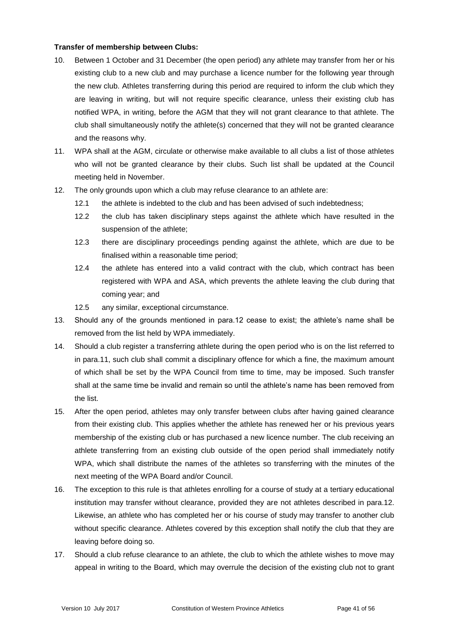#### **Transfer of membership between Clubs:**

- 10. Between 1 October and 31 December (the open period) any athlete may transfer from her or his existing club to a new club and may purchase a licence number for the following year through the new club. Athletes transferring during this period are required to inform the club which they are leaving in writing, but will not require specific clearance, unless their existing club has notified WPA, in writing, before the AGM that they will not grant clearance to that athlete. The club shall simultaneously notify the athlete(s) concerned that they will not be granted clearance and the reasons why.
- 11. WPA shall at the AGM, circulate or otherwise make available to all clubs a list of those athletes who will not be granted clearance by their clubs. Such list shall be updated at the Council meeting held in November.
- 12. The only grounds upon which a club may refuse clearance to an athlete are:
	- 12.1 the athlete is indebted to the club and has been advised of such indebtedness;
	- 12.2 the club has taken disciplinary steps against the athlete which have resulted in the suspension of the athlete;
	- 12.3 there are disciplinary proceedings pending against the athlete, which are due to be finalised within a reasonable time period;
	- 12.4 the athlete has entered into a valid contract with the club, which contract has been registered with WPA and ASA, which prevents the athlete leaving the club during that coming year; and
	- 12.5 any similar, exceptional circumstance.
- 13. Should any of the grounds mentioned in para.12 cease to exist; the athlete's name shall be removed from the list held by WPA immediately.
- 14. Should a club register a transferring athlete during the open period who is on the list referred to in para.11, such club shall commit a disciplinary offence for which a fine, the maximum amount of which shall be set by the WPA Council from time to time, may be imposed. Such transfer shall at the same time be invalid and remain so until the athlete's name has been removed from the list.
- 15. After the open period, athletes may only transfer between clubs after having gained clearance from their existing club. This applies whether the athlete has renewed her or his previous years membership of the existing club or has purchased a new licence number. The club receiving an athlete transferring from an existing club outside of the open period shall immediately notify WPA, which shall distribute the names of the athletes so transferring with the minutes of the next meeting of the WPA Board and/or Council.
- 16. The exception to this rule is that athletes enrolling for a course of study at a tertiary educational institution may transfer without clearance, provided they are not athletes described in para.12. Likewise, an athlete who has completed her or his course of study may transfer to another club without specific clearance. Athletes covered by this exception shall notify the club that they are leaving before doing so.
- 17. Should a club refuse clearance to an athlete, the club to which the athlete wishes to move may appeal in writing to the Board, which may overrule the decision of the existing club not to grant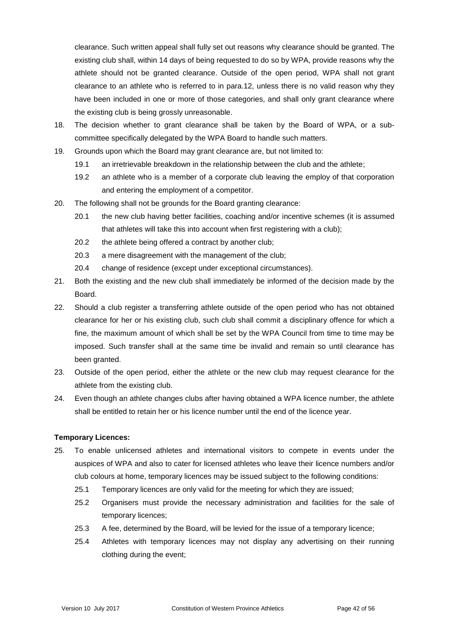clearance. Such written appeal shall fully set out reasons why clearance should be granted. The existing club shall, within 14 days of being requested to do so by WPA, provide reasons why the athlete should not be granted clearance. Outside of the open period, WPA shall not grant clearance to an athlete who is referred to in para.12, unless there is no valid reason why they have been included in one or more of those categories, and shall only grant clearance where the existing club is being grossly unreasonable.

- 18. The decision whether to grant clearance shall be taken by the Board of WPA, or a subcommittee specifically delegated by the WPA Board to handle such matters.
- 19. Grounds upon which the Board may grant clearance are, but not limited to:
	- 19.1 an irretrievable breakdown in the relationship between the club and the athlete;
	- 19.2 an athlete who is a member of a corporate club leaving the employ of that corporation and entering the employment of a competitor.
- 20. The following shall not be grounds for the Board granting clearance:
	- 20.1 the new club having better facilities, coaching and/or incentive schemes (it is assumed that athletes will take this into account when first registering with a club);
	- 20.2 the athlete being offered a contract by another club;
	- 20.3 a mere disagreement with the management of the club;
	- 20.4 change of residence (except under exceptional circumstances).
- 21. Both the existing and the new club shall immediately be informed of the decision made by the Board.
- 22. Should a club register a transferring athlete outside of the open period who has not obtained clearance for her or his existing club, such club shall commit a disciplinary offence for which a fine, the maximum amount of which shall be set by the WPA Council from time to time may be imposed. Such transfer shall at the same time be invalid and remain so until clearance has been granted.
- 23. Outside of the open period, either the athlete or the new club may request clearance for the athlete from the existing club.
- 24. Even though an athlete changes clubs after having obtained a WPA licence number, the athlete shall be entitled to retain her or his licence number until the end of the licence year.

#### **Temporary Licences:**

- 25. To enable unlicensed athletes and international visitors to compete in events under the auspices of WPA and also to cater for licensed athletes who leave their licence numbers and/or club colours at home, temporary licences may be issued subject to the following conditions:
	- 25.1 Temporary licences are only valid for the meeting for which they are issued;
	- 25.2 Organisers must provide the necessary administration and facilities for the sale of temporary licences;
	- 25.3 A fee, determined by the Board, will be levied for the issue of a temporary licence;
	- 25.4 Athletes with temporary licences may not display any advertising on their running clothing during the event;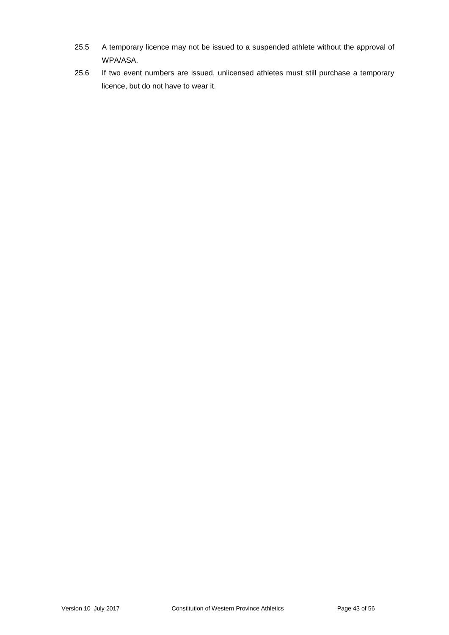- 25.5 A temporary licence may not be issued to a suspended athlete without the approval of WPA/ASA.
- 25.6 If two event numbers are issued, unlicensed athletes must still purchase a temporary licence, but do not have to wear it.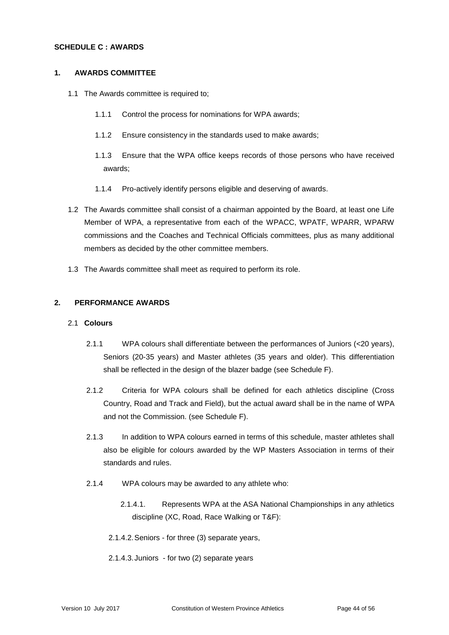#### **SCHEDULE C : AWARDS**

#### **1. AWARDS COMMITTEE**

- 1.1 The Awards committee is required to;
	- 1.1.1 Control the process for nominations for WPA awards;
	- 1.1.2 Ensure consistency in the standards used to make awards;
	- 1.1.3 Ensure that the WPA office keeps records of those persons who have received awards;
	- 1.1.4 Pro-actively identify persons eligible and deserving of awards.
- 1.2 The Awards committee shall consist of a chairman appointed by the Board, at least one Life Member of WPA, a representative from each of the WPACC, WPATF, WPARR, WPARW commissions and the Coaches and Technical Officials committees, plus as many additional members as decided by the other committee members.
- 1.3 The Awards committee shall meet as required to perform its role.

#### **2. PERFORMANCE AWARDS**

#### 2.1 **Colours**

- 2.1.1 WPA colours shall differentiate between the performances of Juniors (<20 years), Seniors (20-35 years) and Master athletes (35 years and older). This differentiation shall be reflected in the design of the blazer badge (see Schedule F).
- 2.1.2 Criteria for WPA colours shall be defined for each athletics discipline (Cross Country, Road and Track and Field), but the actual award shall be in the name of WPA and not the Commission. (see Schedule F).
- 2.1.3 In addition to WPA colours earned in terms of this schedule, master athletes shall also be eligible for colours awarded by the WP Masters Association in terms of their standards and rules.
- 2.1.4 WPA colours may be awarded to any athlete who:
	- 2.1.4.1. Represents WPA at the ASA National Championships in any athletics discipline (XC, Road, Race Walking or T&F):
	- 2.1.4.2.Seniors for three (3) separate years,
	- 2.1.4.3.Juniors for two (2) separate years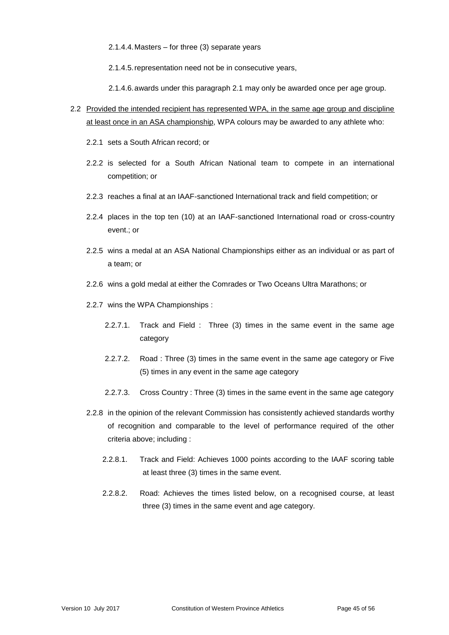2.1.4.4.Masters – for three (3) separate years

2.1.4.5.representation need not be in consecutive years,

2.1.4.6.awards under this paragraph 2.1 may only be awarded once per age group.

- 2.2 Provided the intended recipient has represented WPA, in the same age group and discipline at least once in an ASA championship, WPA colours may be awarded to any athlete who:
	- 2.2.1 sets a South African record; or
	- 2.2.2 is selected for a South African National team to compete in an international competition; or
	- 2.2.3 reaches a final at an IAAF-sanctioned International track and field competition; or
	- 2.2.4 places in the top ten (10) at an IAAF-sanctioned International road or cross-country event.; or
	- 2.2.5 wins a medal at an ASA National Championships either as an individual or as part of a team; or
	- 2.2.6 wins a gold medal at either the Comrades or Two Oceans Ultra Marathons; or
	- 2.2.7 wins the WPA Championships :
		- 2.2.7.1. Track and Field : Three (3) times in the same event in the same age category
		- 2.2.7.2. Road : Three (3) times in the same event in the same age category or Five (5) times in any event in the same age category
		- 2.2.7.3. Cross Country : Three (3) times in the same event in the same age category
	- 2.2.8 in the opinion of the relevant Commission has consistently achieved standards worthy of recognition and comparable to the level of performance required of the other criteria above; including :
		- 2.2.8.1. Track and Field: Achieves 1000 points according to the IAAF scoring table at least three (3) times in the same event.
		- 2.2.8.2. Road: Achieves the times listed below, on a recognised course, at least three (3) times in the same event and age category.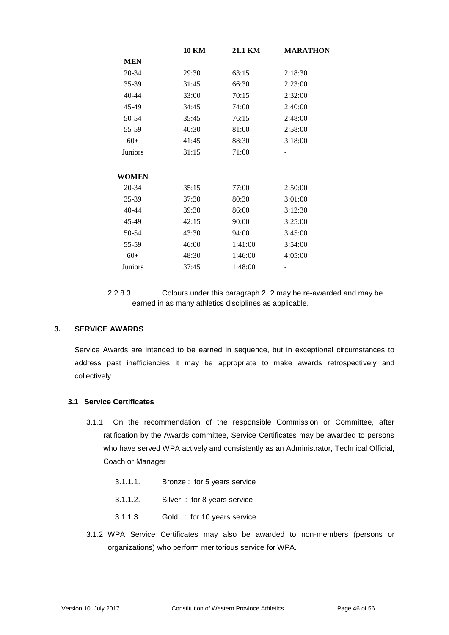|                | <b>10 KM</b> | 21.1 KM | <b>MARATHON</b> |
|----------------|--------------|---------|-----------------|
| <b>MEN</b>     |              |         |                 |
| 20-34          | 29:30        | 63:15   | 2:18:30         |
| 35-39          | 31:45        | 66:30   | 2:23:00         |
| 40-44          | 33:00        | 70:15   | 2:32:00         |
| 45-49          | 34:45        | 74:00   | 2:40:00         |
| 50-54          | 35:45        | 76:15   | 2:48:00         |
| 55-59          | 40:30        | 81:00   | 2:58:00         |
| $60+$          | 41:45        | 88:30   | 3:18:00         |
| Juniors        | 31:15        | 71:00   |                 |
| WOMEN          |              |         |                 |
| 20-34          | 35:15        | 77:00   | 2:50:00         |
| 35-39          | 37:30        | 80:30   | 3:01:00         |
| 40-44          | 39:30        | 86:00   | 3:12:30         |
| 45-49          | 42:15        | 90:00   | 3:25:00         |
| 50-54          | 43:30        | 94:00   | 3:45:00         |
| 55-59          | 46:00        | 1:41:00 | 3:54:00         |
| $60+$          | 48:30        | 1:46:00 | 4:05:00         |
| <b>Juniors</b> | 37:45        | 1:48:00 |                 |

<sup>2.2.8.3.</sup> Colours under this paragraph 2..2 may be re-awarded and may be earned in as many athletics disciplines as applicable.

## **3. SERVICE AWARDS**

Service Awards are intended to be earned in sequence, but in exceptional circumstances to address past inefficiencies it may be appropriate to make awards retrospectively and collectively.

## **3.1 Service Certificates**

- 3.1.1 On the recommendation of the responsible Commission or Committee, after ratification by the Awards committee, Service Certificates may be awarded to persons who have served WPA actively and consistently as an Administrator, Technical Official, Coach or Manager
	- 3.1.1.1. Bronze : for 5 years service
	- 3.1.1.2. Silver : for 8 years service
	- 3.1.1.3. Gold : for 10 years service
- 3.1.2 WPA Service Certificates may also be awarded to non-members (persons or organizations) who perform meritorious service for WPA.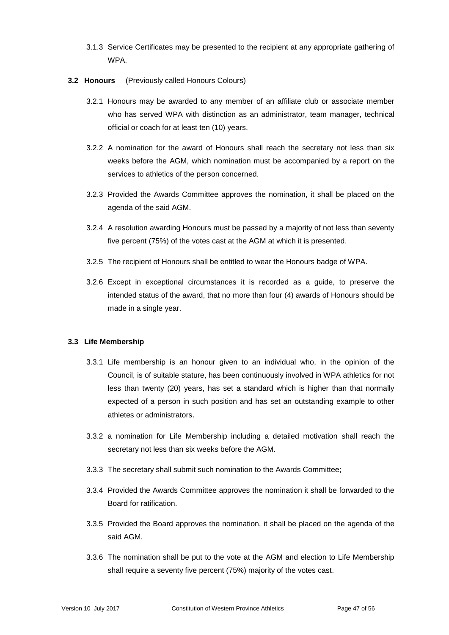- 3.1.3 Service Certificates may be presented to the recipient at any appropriate gathering of **WPA**
- **3.2 Honours** (Previously called Honours Colours)
	- 3.2.1 Honours may be awarded to any member of an affiliate club or associate member who has served WPA with distinction as an administrator, team manager, technical official or coach for at least ten (10) years.
	- 3.2.2 A nomination for the award of Honours shall reach the secretary not less than six weeks before the AGM, which nomination must be accompanied by a report on the services to athletics of the person concerned.
	- 3.2.3 Provided the Awards Committee approves the nomination, it shall be placed on the agenda of the said AGM.
	- 3.2.4 A resolution awarding Honours must be passed by a majority of not less than seventy five percent (75%) of the votes cast at the AGM at which it is presented.
	- 3.2.5 The recipient of Honours shall be entitled to wear the Honours badge of WPA.
	- 3.2.6 Except in exceptional circumstances it is recorded as a guide, to preserve the intended status of the award, that no more than four (4) awards of Honours should be made in a single year.

#### **3.3 Life Membership**

- 3.3.1 Life membership is an honour given to an individual who, in the opinion of the Council, is of suitable stature, has been continuously involved in WPA athletics for not less than twenty (20) years, has set a standard which is higher than that normally expected of a person in such position and has set an outstanding example to other athletes or administrators.
- 3.3.2 a nomination for Life Membership including a detailed motivation shall reach the secretary not less than six weeks before the AGM.
- 3.3.3 The secretary shall submit such nomination to the Awards Committee;
- 3.3.4 Provided the Awards Committee approves the nomination it shall be forwarded to the Board for ratification.
- 3.3.5 Provided the Board approves the nomination, it shall be placed on the agenda of the said AGM.
- 3.3.6 The nomination shall be put to the vote at the AGM and election to Life Membership shall require a seventy five percent (75%) majority of the votes cast.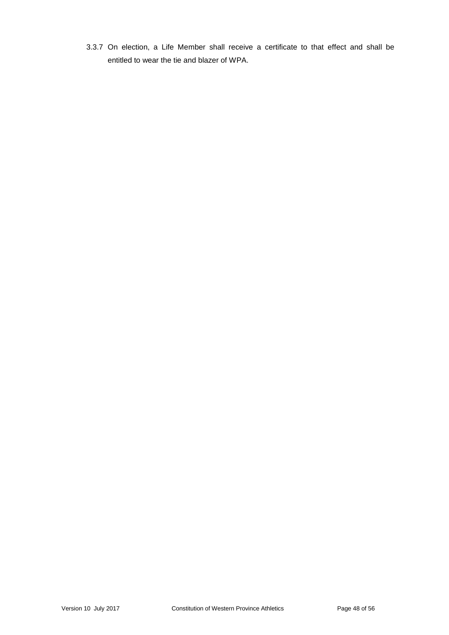3.3.7 On election, a Life Member shall receive a certificate to that effect and shall be entitled to wear the tie and blazer of WPA.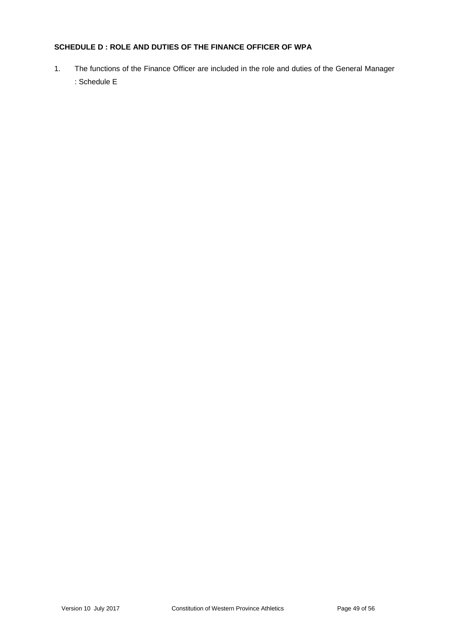## **SCHEDULE D : ROLE AND DUTIES OF THE FINANCE OFFICER OF WPA**

1. The functions of the Finance Officer are included in the role and duties of the General Manager : Schedule E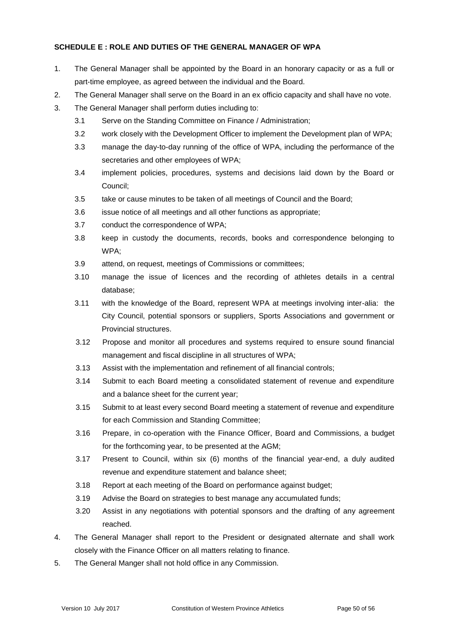## **SCHEDULE E : ROLE AND DUTIES OF THE GENERAL MANAGER OF WPA**

- 1. The General Manager shall be appointed by the Board in an honorary capacity or as a full or part-time employee, as agreed between the individual and the Board.
- 2. The General Manager shall serve on the Board in an ex officio capacity and shall have no vote.
- 3. The General Manager shall perform duties including to:
	- 3.1 Serve on the Standing Committee on Finance / Administration;
	- 3.2 work closely with the Development Officer to implement the Development plan of WPA;
	- 3.3 manage the day-to-day running of the office of WPA, including the performance of the secretaries and other employees of WPA;
	- 3.4 implement policies, procedures, systems and decisions laid down by the Board or Council;
	- 3.5 take or cause minutes to be taken of all meetings of Council and the Board;
	- 3.6 issue notice of all meetings and all other functions as appropriate;
	- 3.7 conduct the correspondence of WPA;
	- 3.8 keep in custody the documents, records, books and correspondence belonging to WPA;
	- 3.9 attend, on request, meetings of Commissions or committees;
	- 3.10 manage the issue of licences and the recording of athletes details in a central database;
	- 3.11 with the knowledge of the Board, represent WPA at meetings involving inter-alia: the City Council, potential sponsors or suppliers, Sports Associations and government or Provincial structures.
	- 3.12 Propose and monitor all procedures and systems required to ensure sound financial management and fiscal discipline in all structures of WPA;
	- 3.13 Assist with the implementation and refinement of all financial controls;
	- 3.14 Submit to each Board meeting a consolidated statement of revenue and expenditure and a balance sheet for the current year;
	- 3.15 Submit to at least every second Board meeting a statement of revenue and expenditure for each Commission and Standing Committee;
	- 3.16 Prepare, in co-operation with the Finance Officer, Board and Commissions, a budget for the forthcoming year, to be presented at the AGM;
	- 3.17 Present to Council, within six (6) months of the financial year-end, a duly audited revenue and expenditure statement and balance sheet;
	- 3.18 Report at each meeting of the Board on performance against budget;
	- 3.19 Advise the Board on strategies to best manage any accumulated funds;
	- 3.20 Assist in any negotiations with potential sponsors and the drafting of any agreement reached.
- 4. The General Manager shall report to the President or designated alternate and shall work closely with the Finance Officer on all matters relating to finance.
- 5. The General Manger shall not hold office in any Commission.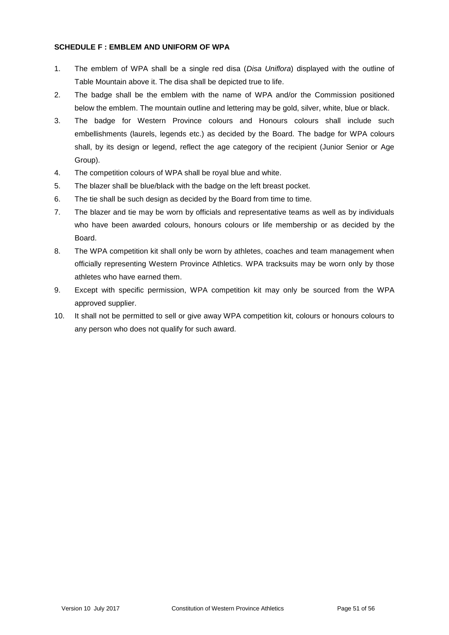#### **SCHEDULE F : EMBLEM AND UNIFORM OF WPA**

- 1. The emblem of WPA shall be a single red disa (*Disa Uniflora*) displayed with the outline of Table Mountain above it. The disa shall be depicted true to life.
- 2. The badge shall be the emblem with the name of WPA and/or the Commission positioned below the emblem. The mountain outline and lettering may be gold, silver, white, blue or black.
- 3. The badge for Western Province colours and Honours colours shall include such embellishments (laurels, legends etc.) as decided by the Board. The badge for WPA colours shall, by its design or legend, reflect the age category of the recipient (Junior Senior or Age Group).
- 4. The competition colours of WPA shall be royal blue and white.
- 5. The blazer shall be blue/black with the badge on the left breast pocket.
- 6. The tie shall be such design as decided by the Board from time to time.
- 7. The blazer and tie may be worn by officials and representative teams as well as by individuals who have been awarded colours, honours colours or life membership or as decided by the Board.
- 8. The WPA competition kit shall only be worn by athletes, coaches and team management when officially representing Western Province Athletics. WPA tracksuits may be worn only by those athletes who have earned them.
- 9. Except with specific permission, WPA competition kit may only be sourced from the WPA approved supplier.
- 10. It shall not be permitted to sell or give away WPA competition kit, colours or honours colours to any person who does not qualify for such award.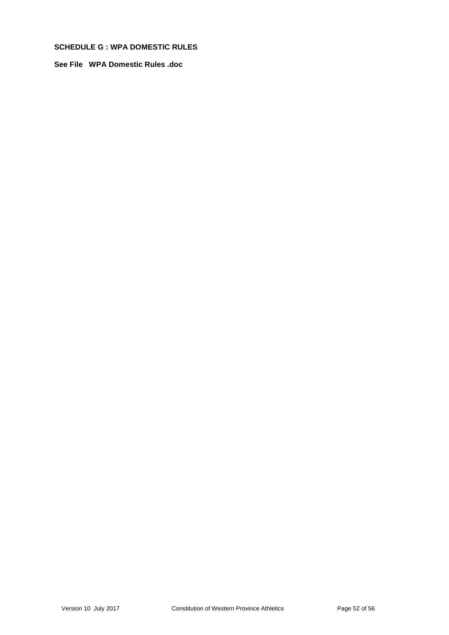## **SCHEDULE G : WPA DOMESTIC RULES**

**See File WPA Domestic Rules .doc**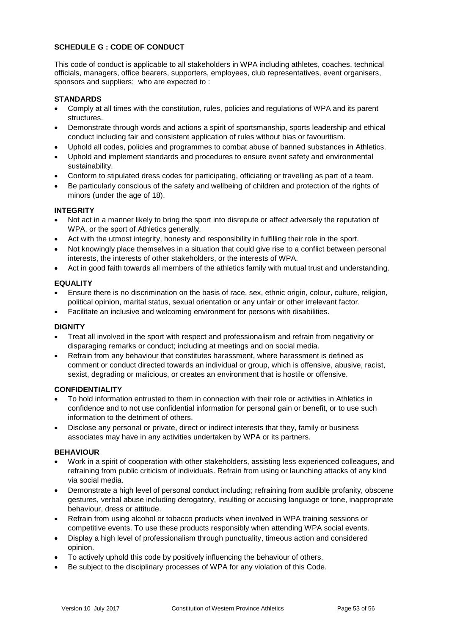## **SCHEDULE G : CODE OF CONDUCT**

This code of conduct is applicable to all stakeholders in WPA including athletes, coaches, technical officials, managers, office bearers, supporters, employees, club representatives, event organisers, sponsors and suppliers; who are expected to :

## **STANDARDS**

- Comply at all times with the constitution, rules, policies and regulations of WPA and its parent **structures**
- Demonstrate through words and actions a spirit of sportsmanship, sports leadership and ethical conduct including fair and consistent application of rules without bias or favouritism.
- Uphold all codes, policies and programmes to combat abuse of banned substances in Athletics.
- Uphold and implement standards and procedures to ensure event safety and environmental sustainability.
- Conform to stipulated dress codes for participating, officiating or travelling as part of a team.
- Be particularly conscious of the safety and wellbeing of children and protection of the rights of minors (under the age of 18).

#### **INTEGRITY**

- Not act in a manner likely to bring the sport into disrepute or affect adversely the reputation of WPA, or the sport of Athletics generally.
- Act with the utmost integrity, honesty and responsibility in fulfilling their role in the sport.
- Not knowingly place themselves in a situation that could give rise to a conflict between personal interests, the interests of other stakeholders, or the interests of WPA.
- Act in good faith towards all members of the athletics family with mutual trust and understanding.

## **EQUALITY**

- Ensure there is no discrimination on the basis of race, sex, ethnic origin, colour, culture, religion, political opinion, marital status, sexual orientation or any unfair or other irrelevant factor.
- Facilitate an inclusive and welcoming environment for persons with disabilities.

#### **DIGNITY**

- Treat all involved in the sport with respect and professionalism and refrain from negativity or disparaging remarks or conduct; including at meetings and on social media.
- Refrain from any behaviour that constitutes harassment, where harassment is defined as comment or conduct directed towards an individual or group, which is offensive, abusive, racist, sexist, degrading or malicious, or creates an environment that is hostile or offensive.

#### **CONFIDENTIALITY**

- To hold information entrusted to them in connection with their role or activities in Athletics in confidence and to not use confidential information for personal gain or benefit, or to use such information to the detriment of others.
- Disclose any personal or private, direct or indirect interests that they, family or business associates may have in any activities undertaken by WPA or its partners.

#### **BEHAVIOUR**

- Work in a spirit of cooperation with other stakeholders, assisting less experienced colleagues, and refraining from public criticism of individuals. Refrain from using or launching attacks of any kind via social media.
- Demonstrate a high level of personal conduct including; refraining from audible profanity, obscene gestures, verbal abuse including derogatory, insulting or accusing language or tone, inappropriate behaviour, dress or attitude.
- Refrain from using alcohol or tobacco products when involved in WPA training sessions or competitive events. To use these products responsibly when attending WPA social events.
- Display a high level of professionalism through punctuality, timeous action and considered opinion.
- To actively uphold this code by positively influencing the behaviour of others.
- Be subject to the disciplinary processes of WPA for any violation of this Code.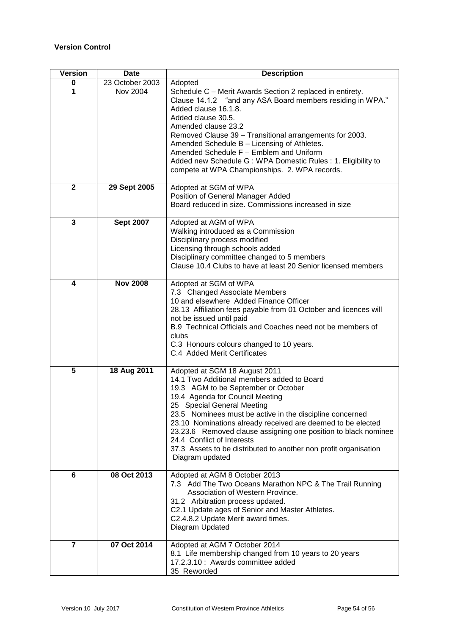## **Version Control**

| <b>Version</b> | <b>Date</b>      | <b>Description</b>                                                                                                                                                                                                                                                                                                                                                                                                                                                                                    |
|----------------|------------------|-------------------------------------------------------------------------------------------------------------------------------------------------------------------------------------------------------------------------------------------------------------------------------------------------------------------------------------------------------------------------------------------------------------------------------------------------------------------------------------------------------|
| 0              | 23 October 2003  | Adopted                                                                                                                                                                                                                                                                                                                                                                                                                                                                                               |
| 1              | <b>Nov 2004</b>  | Schedule C - Merit Awards Section 2 replaced in entirety.<br>Clause 14.1.2 "and any ASA Board members residing in WPA."<br>Added clause 16.1.8.<br>Added clause 30.5.<br>Amended clause 23.2<br>Removed Clause 39 - Transitional arrangements for 2003.<br>Amended Schedule B - Licensing of Athletes.<br>Amended Schedule F - Emblem and Uniform<br>Added new Schedule G: WPA Domestic Rules: 1. Eligibility to<br>compete at WPA Championships. 2. WPA records.                                     |
| $\mathbf{2}$   | 29 Sept 2005     | Adopted at SGM of WPA<br>Position of General Manager Added<br>Board reduced in size. Commissions increased in size                                                                                                                                                                                                                                                                                                                                                                                    |
| $\mathbf{3}$   | <b>Sept 2007</b> | Adopted at AGM of WPA                                                                                                                                                                                                                                                                                                                                                                                                                                                                                 |
|                |                  | Walking introduced as a Commission<br>Disciplinary process modified<br>Licensing through schools added<br>Disciplinary committee changed to 5 members<br>Clause 10.4 Clubs to have at least 20 Senior licensed members                                                                                                                                                                                                                                                                                |
| 4              | <b>Nov 2008</b>  | Adopted at SGM of WPA<br>7.3 Changed Associate Members<br>10 and elsewhere Added Finance Officer<br>28.13 Affiliation fees payable from 01 October and licences will<br>not be issued until paid<br>B.9 Technical Officials and Coaches need not be members of<br>clubs<br>C.3 Honours colours changed to 10 years.<br>C.4 Added Merit Certificates                                                                                                                                                   |
| 5              | 18 Aug 2011      | Adopted at SGM 18 August 2011<br>14.1 Two Additional members added to Board<br>19.3 AGM to be September or October<br>19.4 Agenda for Council Meeting<br>25 Special General Meeting<br>23.5 Nominees must be active in the discipline concerned<br>23.10 Nominations already received are deemed to be elected<br>23.23.6 Removed clause assigning one position to black nominee<br>24.4 Conflict of Interests<br>37.3 Assets to be distributed to another non profit organisation<br>Diagram updated |
| 6              | 08 Oct 2013      | Adopted at AGM 8 October 2013<br>7.3 Add The Two Oceans Marathon NPC & The Trail Running<br>Association of Western Province.<br>31.2 Arbitration process updated.<br>C2.1 Update ages of Senior and Master Athletes.<br>C2.4.8.2 Update Merit award times.<br>Diagram Updated                                                                                                                                                                                                                         |
| $\overline{7}$ | 07 Oct 2014      | Adopted at AGM 7 October 2014<br>8.1 Life membership changed from 10 years to 20 years<br>17.2.3.10 : Awards committee added<br>35 Reworded                                                                                                                                                                                                                                                                                                                                                           |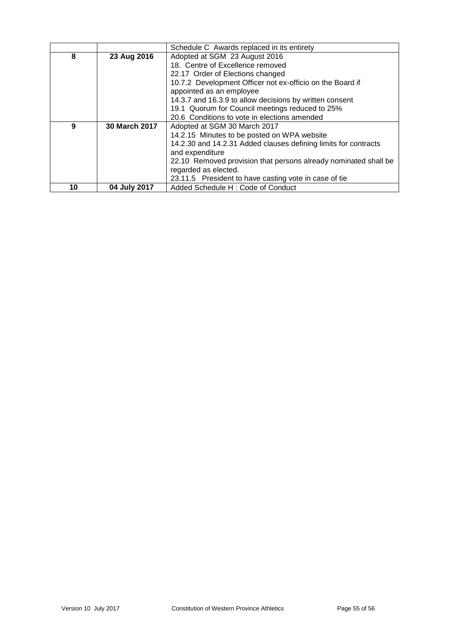|    |                      | Schedule C Awards replaced in its entirety                      |  |
|----|----------------------|-----------------------------------------------------------------|--|
| 8  | 23 Aug 2016          | Adopted at SGM 23 August 2016                                   |  |
|    |                      | 18. Centre of Excellence removed                                |  |
|    |                      | 22.17 Order of Elections changed                                |  |
|    |                      | 10.7.2 Development Officer not ex-officio on the Board if       |  |
|    |                      | appointed as an employee                                        |  |
|    |                      | 14.3.7 and 16.3.9 to allow decisions by written consent         |  |
|    |                      | 19.1 Quorum for Council meetings reduced to 25%                 |  |
|    |                      | 20.6 Conditions to vote in elections amended                    |  |
| 9  | <b>30 March 2017</b> | Adopted at SGM 30 March 2017                                    |  |
|    |                      | 14.2.15 Minutes to be posted on WPA website                     |  |
|    |                      | 14.2.30 and 14.2.31 Added clauses defining limits for contracts |  |
|    |                      | and expenditure                                                 |  |
|    |                      | 22.10 Removed provision that persons already nominated shall be |  |
|    |                      | regarded as elected.                                            |  |
|    |                      | 23.11.5 President to have casting vote in case of tie           |  |
| 10 | 04 July 2017         | Added Schedule H: Code of Conduct                               |  |